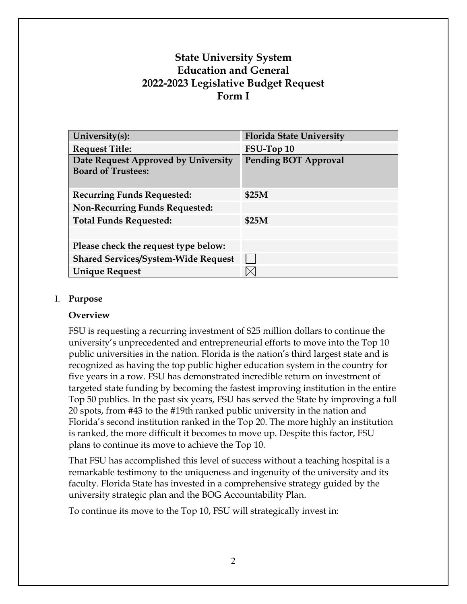# **State University System Education and General 2022-2023 Legislative Budget Request Form I**

| University(s):                                                   | <b>Florida State University</b> |
|------------------------------------------------------------------|---------------------------------|
| <b>Request Title:</b>                                            | FSU-Top 10                      |
| Date Request Approved by University<br><b>Board of Trustees:</b> | <b>Pending BOT Approval</b>     |
| <b>Recurring Funds Requested:</b>                                | \$25M                           |
| <b>Non-Recurring Funds Requested:</b>                            |                                 |
| <b>Total Funds Requested:</b>                                    | \$25M                           |
|                                                                  |                                 |
| Please check the request type below:                             |                                 |
| <b>Shared Services/System-Wide Request</b>                       |                                 |
| <b>Unique Request</b>                                            |                                 |

### I. **Purpose**

#### **Overview**

FSU is requesting a recurring investment of \$25 million dollars to continue the university's unprecedented and entrepreneurial efforts to move into the Top 10 public universities in the nation. Florida is the nation's third largest state and is recognized as having the top public higher education system in the country for five years in a row. FSU has demonstrated incredible return on investment of targeted state funding by becoming the fastest improving institution in the entire Top 50 publics. In the past six years, FSU has served the State by improving a full 20 spots, from #43 to the #19th ranked public university in the nation and Florida's second institution ranked in the Top 20. The more highly an institution is ranked, the more difficult it becomes to move up. Despite this factor, FSU plans to continue its move to achieve the Top 10.

That FSU has accomplished this level of success without a teaching hospital is a remarkable testimony to the uniqueness and ingenuity of the university and its faculty. Florida State has invested in a comprehensive strategy guided by the university strategic plan and the BOG Accountability Plan.

To continue its move to the Top 10, FSU will strategically invest in: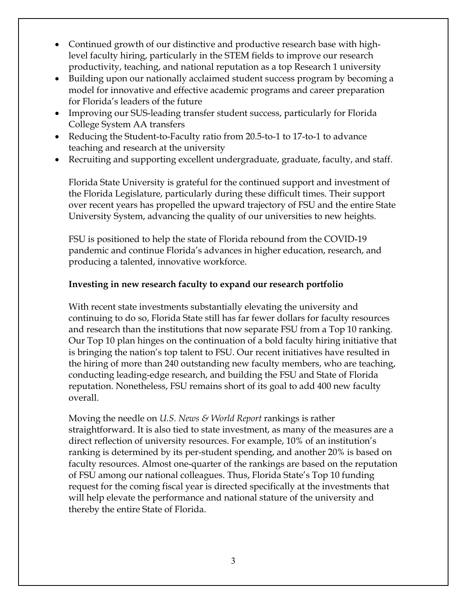- Continued growth of our distinctive and productive research base with highlevel faculty hiring, particularly in the STEM fields to improve our research productivity, teaching, and national reputation as a top Research 1 university
- Building upon our nationally acclaimed student success program by becoming a model for innovative and effective academic programs and career preparation for Florida's leaders of the future
- Improving our SUS-leading transfer student success, particularly for Florida College System AA transfers
- Reducing the Student-to-Faculty ratio from 20.5-to-1 to 17-to-1 to advance teaching and research at the university
- Recruiting and supporting excellent undergraduate, graduate, faculty, and staff.

Florida State University is grateful for the continued support and investment of the Florida Legislature, particularly during these difficult times. Their support over recent years has propelled the upward trajectory of FSU and the entire State University System, advancing the quality of our universities to new heights.

FSU is positioned to help the state of Florida rebound from the COVID-19 pandemic and continue Florida's advances in higher education, research, and producing a talented, innovative workforce.

# **Investing in new research faculty to expand our research portfolio**

With recent state investments substantially elevating the university and continuing to do so, Florida State still has far fewer dollars for faculty resources and research than the institutions that now separate FSU from a Top 10 ranking. Our Top 10 plan hinges on the continuation of a bold faculty hiring initiative that is bringing the nation's top talent to FSU. Our recent initiatives have resulted in the hiring of more than 240 outstanding new faculty members, who are teaching, conducting leading-edge research, and building the FSU and State of Florida reputation. Nonetheless, FSU remains short of its goal to add 400 new faculty overall.

Moving the needle on *U.S. News & World Report* rankings is rather straightforward. It is also tied to state investment, as many of the measures are a direct reflection of university resources. For example, 10% of an institution's ranking is determined by its per-student spending, and another 20% is based on faculty resources. Almost one-quarter of the rankings are based on the reputation of FSU among our national colleagues. Thus, Florida State's Top 10 funding request for the coming fiscal year is directed specifically at the investments that will help elevate the performance and national stature of the university and thereby the entire State of Florida.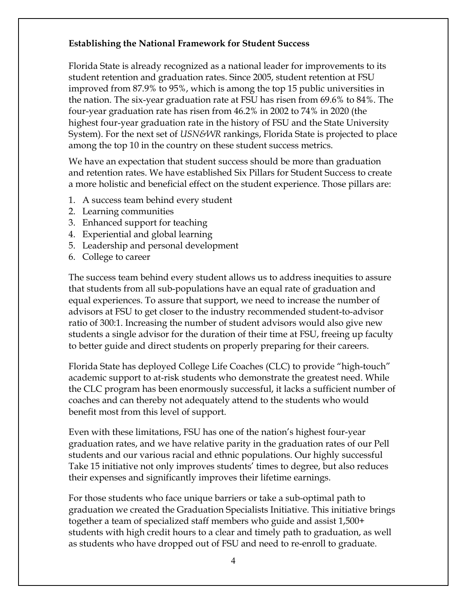## **Establishing the National Framework for Student Success**

Florida State is already recognized as a national leader for improvements to its student retention and graduation rates. Since 2005, student retention at FSU improved from 87.9% to 95%, which is among the top 15 public universities in the nation. The six-year graduation rate at FSU has risen from 69.6% to 84%. The four-year graduation rate has risen from 46.2% in 2002 to 74% in 2020 (the highest four-year graduation rate in the history of FSU and the State University System). For the next set of *USN&WR* rankings, Florida State is projected to place among the top 10 in the country on these student success metrics.

We have an expectation that student success should be more than graduation and retention rates. We have established Six Pillars for Student Success to create a more holistic and beneficial effect on the student experience. Those pillars are:

- 1. A success team behind every student
- 2. Learning communities
- 3. Enhanced support for teaching
- 4. Experiential and global learning
- 5. Leadership and personal development
- 6. College to career

The success team behind every student allows us to address inequities to assure that students from all sub-populations have an equal rate of graduation and equal experiences. To assure that support, we need to increase the number of advisors at FSU to get closer to the industry recommended student-to-advisor ratio of 300:1. Increasing the number of student advisors would also give new students a single advisor for the duration of their time at FSU, freeing up faculty to better guide and direct students on properly preparing for their careers.

Florida State has deployed College Life Coaches (CLC) to provide "high-touch" academic support to at-risk students who demonstrate the greatest need. While the CLC program has been enormously successful, it lacks a sufficient number of coaches and can thereby not adequately attend to the students who would benefit most from this level of support.

Even with these limitations, FSU has one of the nation's highest four-year graduation rates, and we have relative parity in the graduation rates of our Pell students and our various racial and ethnic populations. Our highly successful Take 15 initiative not only improves students' times to degree, but also reduces their expenses and significantly improves their lifetime earnings.

For those students who face unique barriers or take a sub-optimal path to graduation we created the Graduation Specialists Initiative. This initiative brings together a team of specialized staff members who guide and assist 1,500+ students with high credit hours to a clear and timely path to graduation, as well as students who have dropped out of FSU and need to re-enroll to graduate.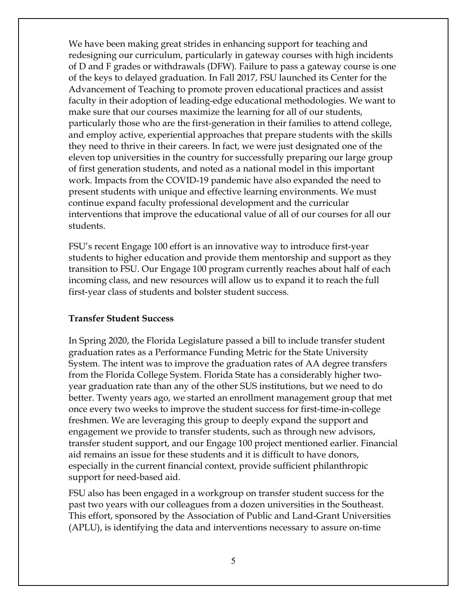We have been making great strides in enhancing support for teaching and redesigning our curriculum, particularly in gateway courses with high incidents of D and F grades or withdrawals (DFW). Failure to pass a gateway course is one of the keys to delayed graduation. In Fall 2017, FSU launched its Center for the Advancement of Teaching to promote proven educational practices and assist faculty in their adoption of leading-edge educational methodologies. We want to make sure that our courses maximize the learning for all of our students, particularly those who are the first-generation in their families to attend college, and employ active, experiential approaches that prepare students with the skills they need to thrive in their careers. In fact, we were just designated one of the eleven top universities in the country for successfully preparing our large group of first generation students, and noted as a national model in this important work. Impacts from the COVID-19 pandemic have also expanded the need to present students with unique and effective learning environments. We must continue expand faculty professional development and the curricular interventions that improve the educational value of all of our courses for all our students.

FSU's recent Engage 100 effort is an innovative way to introduce first-year students to higher education and provide them mentorship and support as they transition to FSU. Our Engage 100 program currently reaches about half of each incoming class, and new resources will allow us to expand it to reach the full first-year class of students and bolster student success.

#### **Transfer Student Success**

In Spring 2020, the Florida Legislature passed a bill to include transfer student graduation rates as a Performance Funding Metric for the State University System. The intent was to improve the graduation rates of AA degree transfers from the Florida College System. Florida State has a considerably higher twoyear graduation rate than any of the other SUS institutions, but we need to do better. Twenty years ago, we started an enrollment management group that met once every two weeks to improve the student success for first-time-in-college freshmen. We are leveraging this group to deeply expand the support and engagement we provide to transfer students, such as through new advisors, transfer student support, and our Engage 100 project mentioned earlier. Financial aid remains an issue for these students and it is difficult to have donors, especially in the current financial context, provide sufficient philanthropic support for need-based aid.

FSU also has been engaged in a workgroup on transfer student success for the past two years with our colleagues from a dozen universities in the Southeast. This effort, sponsored by the Association of Public and Land-Grant Universities (APLU), is identifying the data and interventions necessary to assure on-time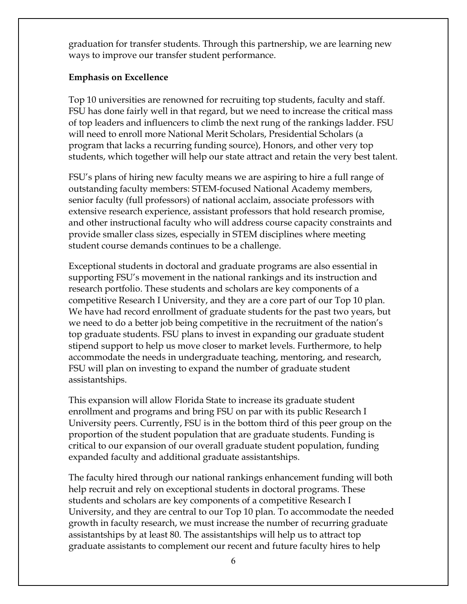graduation for transfer students. Through this partnership, we are learning new ways to improve our transfer student performance.

# **Emphasis on Excellence**

Top 10 universities are renowned for recruiting top students, faculty and staff. FSU has done fairly well in that regard, but we need to increase the critical mass of top leaders and influencers to climb the next rung of the rankings ladder. FSU will need to enroll more National Merit Scholars, Presidential Scholars (a program that lacks a recurring funding source), Honors, and other very top students, which together will help our state attract and retain the very best talent.

FSU's plans of hiring new faculty means we are aspiring to hire a full range of outstanding faculty members: STEM-focused National Academy members, senior faculty (full professors) of national acclaim, associate professors with extensive research experience, assistant professors that hold research promise, and other instructional faculty who will address course capacity constraints and provide smaller class sizes, especially in STEM disciplines where meeting student course demands continues to be a challenge.

Exceptional students in doctoral and graduate programs are also essential in supporting FSU's movement in the national rankings and its instruction and research portfolio. These students and scholars are key components of a competitive Research I University, and they are a core part of our Top 10 plan. We have had record enrollment of graduate students for the past two years, but we need to do a better job being competitive in the recruitment of the nation's top graduate students. FSU plans to invest in expanding our graduate student stipend support to help us move closer to market levels. Furthermore, to help accommodate the needs in undergraduate teaching, mentoring, and research, FSU will plan on investing to expand the number of graduate student assistantships.

This expansion will allow Florida State to increase its graduate student enrollment and programs and bring FSU on par with its public Research I University peers. Currently, FSU is in the bottom third of this peer group on the proportion of the student population that are graduate students. Funding is critical to our expansion of our overall graduate student population, funding expanded faculty and additional graduate assistantships.

The faculty hired through our national rankings enhancement funding will both help recruit and rely on exceptional students in doctoral programs. These students and scholars are key components of a competitive Research I University, and they are central to our Top 10 plan. To accommodate the needed growth in faculty research, we must increase the number of recurring graduate assistantships by at least 80. The assistantships will help us to attract top graduate assistants to complement our recent and future faculty hires to help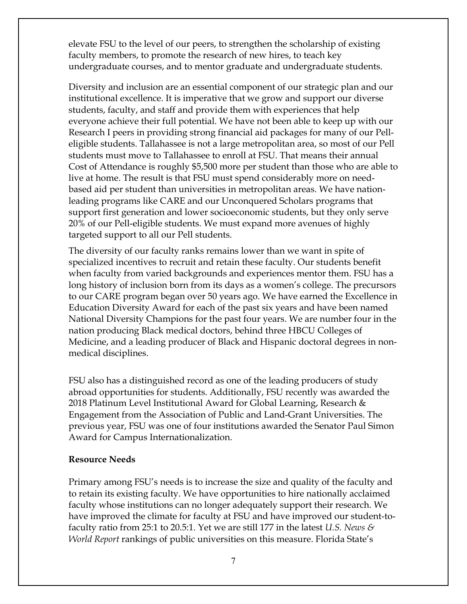elevate FSU to the level of our peers, to strengthen the scholarship of existing faculty members, to promote the research of new hires, to teach key undergraduate courses, and to mentor graduate and undergraduate students.

Diversity and inclusion are an essential component of our strategic plan and our institutional excellence. It is imperative that we grow and support our diverse students, faculty, and staff and provide them with experiences that help everyone achieve their full potential. We have not been able to keep up with our Research I peers in providing strong financial aid packages for many of our Pelleligible students. Tallahassee is not a large metropolitan area, so most of our Pell students must move to Tallahassee to enroll at FSU. That means their annual Cost of Attendance is roughly \$5,500 more per student than those who are able to live at home. The result is that FSU must spend considerably more on needbased aid per student than universities in metropolitan areas. We have nationleading programs like CARE and our Unconquered Scholars programs that support first generation and lower socioeconomic students, but they only serve 20% of our Pell-eligible students. We must expand more avenues of highly targeted support to all our Pell students.

The diversity of our faculty ranks remains lower than we want in spite of specialized incentives to recruit and retain these faculty. Our students benefit when faculty from varied backgrounds and experiences mentor them. FSU has a long history of inclusion born from its days as a women's college. The precursors to our CARE program began over 50 years ago. We have earned the Excellence in Education Diversity Award for each of the past six years and have been named National Diversity Champions for the past four years. We are number four in the nation producing Black medical doctors, behind three HBCU Colleges of Medicine, and a leading producer of Black and Hispanic doctoral degrees in nonmedical disciplines.

FSU also has a distinguished record as one of the leading producers of study abroad opportunities for students. Additionally, FSU recently was awarded the 2018 Platinum Level Institutional Award for Global Learning, Research & Engagement from the Association of Public and Land-Grant Universities. The previous year, FSU was one of four institutions awarded the Senator Paul Simon Award for Campus Internationalization.

#### **Resource Needs**

Primary among FSU's needs is to increase the size and quality of the faculty and to retain its existing faculty. We have opportunities to hire nationally acclaimed faculty whose institutions can no longer adequately support their research. We have improved the climate for faculty at FSU and have improved our student-tofaculty ratio from 25:1 to 20.5:1. Yet we are still 177 in the latest *U.S. News & World Report* rankings of public universities on this measure. Florida State's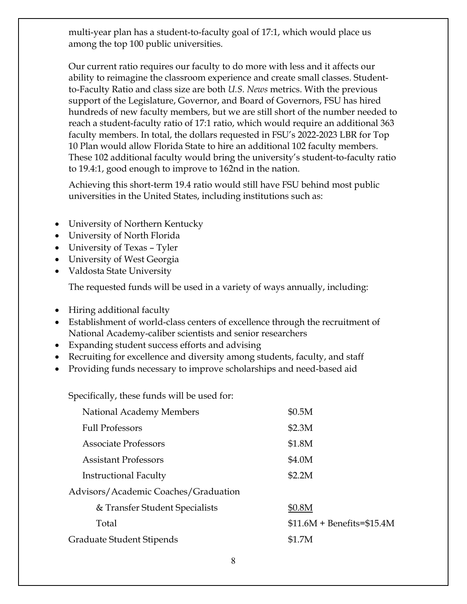multi-year plan has a student-to-faculty goal of 17:1, which would place us among the top 100 public universities.

Our current ratio requires our faculty to do more with less and it affects our ability to reimagine the classroom experience and create small classes. Studentto-Faculty Ratio and class size are both *U.S. News* metrics. With the previous support of the Legislature, Governor, and Board of Governors, FSU has hired hundreds of new faculty members, but we are still short of the number needed to reach a student-faculty ratio of 17:1 ratio, which would require an additional 363 faculty members. In total, the dollars requested in FSU's 2022-2023 LBR for Top 10 Plan would allow Florida State to hire an additional 102 faculty members. These 102 additional faculty would bring the university's student-to-faculty ratio to 19.4:1, good enough to improve to 162nd in the nation.

Achieving this short-term 19.4 ratio would still have FSU behind most public universities in the United States, including institutions such as:

- University of Northern Kentucky
- University of North Florida
- University of Texas Tyler
- University of West Georgia
- Valdosta State University

The requested funds will be used in a variety of ways annually, including:

- Hiring additional faculty
- Establishment of world-class centers of excellence through the recruitment of National Academy-caliber scientists and senior researchers
- Expanding student success efforts and advising
- Recruiting for excellence and diversity among students, faculty, and staff
- Providing funds necessary to improve scholarships and need-based aid

Specifically, these funds will be used for:

| National Academy Members             | \$0.5M                       |
|--------------------------------------|------------------------------|
| <b>Full Professors</b>               | \$2.3M                       |
| <b>Associate Professors</b>          | \$1.8M                       |
| <b>Assistant Professors</b>          | \$4.0M                       |
| Instructional Faculty                | \$2.2M                       |
| Advisors/Academic Coaches/Graduation |                              |
| & Transfer Student Specialists       | \$0.8M                       |
| Total                                | $$11.6M + Benefits = $15.4M$ |
| Graduate Student Stipends            | \$1.7M                       |
|                                      |                              |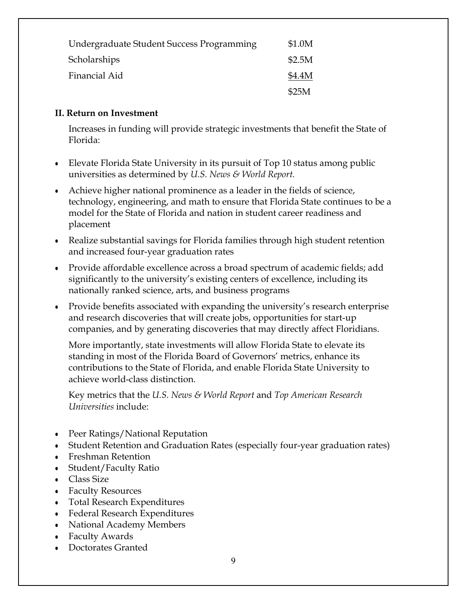| Undergraduate Student Success Programming | \$1.0M |
|-------------------------------------------|--------|
| Scholarships                              | \$2.5M |
| Financial Aid                             | \$4.4M |
|                                           | \$25M  |

## **II. Return on Investment**

Increases in funding will provide strategic investments that benefit the State of Florida:

- Elevate Florida State University in its pursuit of Top 10 status among public universities as determined by *U.S. News & World Report.*
- Achieve higher national prominence as a leader in the fields of science, technology, engineering, and math to ensure that Florida State continues to be a model for the State of Florida and nation in student career readiness and placement
- Realize substantial savings for Florida families through high student retention and increased four-year graduation rates
- Provide affordable excellence across a broad spectrum of academic fields; add significantly to the university's existing centers of excellence, including its nationally ranked science, arts, and business programs
- Provide benefits associated with expanding the university's research enterprise and research discoveries that will create jobs, opportunities for start-up companies, and by generating discoveries that may directly affect Floridians.

More importantly, state investments will allow Florida State to elevate its standing in most of the Florida Board of Governors' metrics, enhance its contributions to the State of Florida, and enable Florida State University to achieve world-class distinction.

Key metrics that the *U.S. News & World Report* and *Top American Research Universities* include:

- Peer Ratings/National Reputation
- Student Retention and Graduation Rates (especially four-year graduation rates)
- Freshman Retention
- Student/Faculty Ratio
- Class Size
- Faculty Resources
- Total Research Expenditures
- Federal Research Expenditures
- National Academy Members
- Faculty Awards
- Doctorates Granted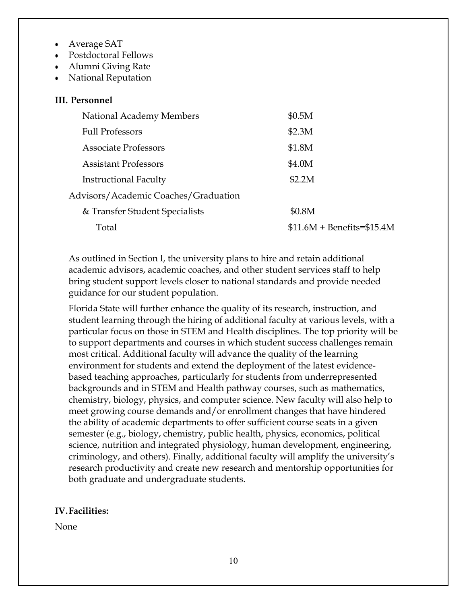- Average SAT
- Postdoctoral Fellows
- Alumni Giving Rate
- **National Reputation**

#### **III. Personnel**

| National Academy Members             | \$0.5M                       |
|--------------------------------------|------------------------------|
| <b>Full Professors</b>               | \$2.3M                       |
| <b>Associate Professors</b>          | \$1.8M                       |
| <b>Assistant Professors</b>          | \$4.0M                       |
| <b>Instructional Faculty</b>         | \$2.2M                       |
| Advisors/Academic Coaches/Graduation |                              |
| & Transfer Student Specialists       | \$0.8M                       |
| Total                                | $$11.6M + Benefits = $15.4M$ |

As outlined in Section I, the university plans to hire and retain additional academic advisors, academic coaches, and other student services staff to help bring student support levels closer to national standards and provide needed guidance for our student population.

Florida State will further enhance the quality of its research, instruction, and student learning through the hiring of additional faculty at various levels, with a particular focus on those in STEM and Health disciplines. The top priority will be to support departments and courses in which student success challenges remain most critical. Additional faculty will advance the quality of the learning environment for students and extend the deployment of the latest evidencebased teaching approaches, particularly for students from underrepresented backgrounds and in STEM and Health pathway courses, such as mathematics, chemistry, biology, physics, and computer science. New faculty will also help to meet growing course demands and/or enrollment changes that have hindered the ability of academic departments to offer sufficient course seats in a given semester (e.g., biology, chemistry, public health, physics, economics, political science, nutrition and integrated physiology, human development, engineering, criminology, and others). Finally, additional faculty will amplify the university's research productivity and create new research and mentorship opportunities for both graduate and undergraduate students.

#### **IV. Facilities:**

None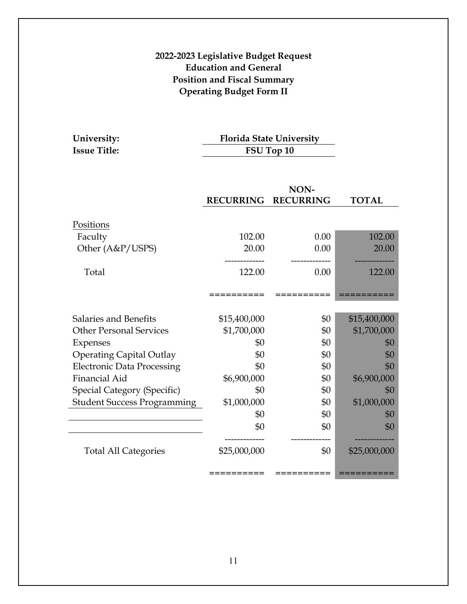# **2022-2023 Legislative Budget Request Education and General Position and Fiscal Summary Operating Budget Form II**

| University:         | <b>Florida State University</b> |
|---------------------|---------------------------------|
| <b>Issue Title:</b> | FSU Top 10                      |

|                                    |                  | NON-             |              |
|------------------------------------|------------------|------------------|--------------|
|                                    | <b>RECURRING</b> | <b>RECURRING</b> | <b>TOTAL</b> |
|                                    |                  |                  |              |
| Positions                          |                  |                  |              |
| Faculty                            | 102.00           | 0.00             | 102.00       |
| Other (A&P/USPS)                   | 20.00            | 0.00             | 20.00        |
|                                    |                  |                  |              |
| Total                              | 122.00           | 0.00             | 122.00       |
|                                    |                  |                  |              |
|                                    | -------          |                  |              |
|                                    |                  |                  |              |
| Salaries and Benefits              | \$15,400,000     | \$0              | \$15,400,000 |
| <b>Other Personal Services</b>     | \$1,700,000      | \$0              | \$1,700,000  |
| Expenses                           | \$0              | \$0              | \$0          |
| <b>Operating Capital Outlay</b>    | \$0              | \$0              | \$0          |
| <b>Electronic Data Processing</b>  | \$0              | \$0              | \$0          |
| <b>Financial Aid</b>               | \$6,900,000      | \$0              | \$6,900,000  |
| Special Category (Specific)        | \$0              | \$0              | \$0          |
| <b>Student Success Programming</b> | \$1,000,000      | \$0              | \$1,000,000  |
|                                    | \$0              | \$0              | \$0          |
|                                    | \$0              | \$0              | \$0          |
|                                    |                  |                  |              |
| <b>Total All Categories</b>        | \$25,000,000     | \$0              | \$25,000,000 |
|                                    |                  |                  |              |
|                                    | ---------        |                  |              |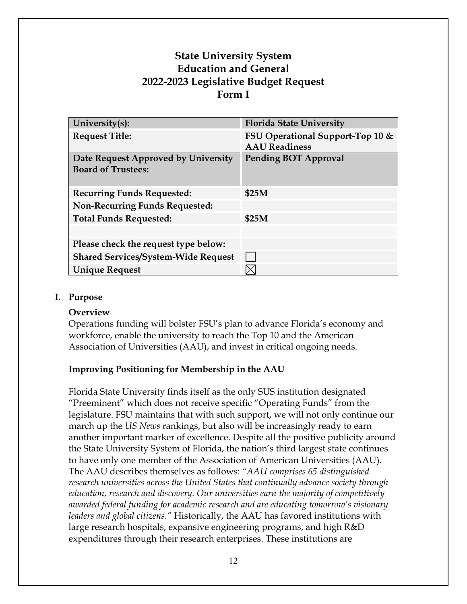# **State University System Education and General 2022-2023 Legislative Budget Request Form I**

| University(s):                                                   | <b>Florida State University</b>                          |
|------------------------------------------------------------------|----------------------------------------------------------|
| <b>Request Title:</b>                                            | FSU Operational Support-Top 10 &<br><b>AAU</b> Readiness |
| Date Request Approved by University<br><b>Board of Trustees:</b> | <b>Pending BOT Approval</b>                              |
| <b>Recurring Funds Requested:</b>                                | \$25M                                                    |
| <b>Non-Recurring Funds Requested:</b>                            |                                                          |
| <b>Total Funds Requested:</b>                                    | \$25M                                                    |
|                                                                  |                                                          |
| Please check the request type below:                             |                                                          |
| <b>Shared Services/System-Wide Request</b>                       |                                                          |
| <b>Unique Request</b>                                            |                                                          |

### **I. Purpose**

#### **Overview**

Operations funding will bolster FSU's plan to advance Florida's economy and workforce, enable the university to reach the Top 10 and the American Association of Universities (AAU), and invest in critical ongoing needs.

# **Improving Positioning for Membership in the AAU**

Florida State University finds itself as the only SUS institution designated "Preeminent" which does not receive specific "Operating Funds" from the legislature. FSU maintains that with such support, we will not only continue our march up the *US News* rankings, but also will be increasingly ready to earn another important marker of excellence. Despite all the positive publicity around the State University System of Florida, the nation's third largest state continues to have only one member of the Association of American Universities (AAU). The AAU describes themselves as follows: *"AAU comprises 65 distinguished research universities across the United States that continually advance society through education, research and discovery. Our universities earn the majority of competitively awarded federal funding for academic research and are educating tomorrow's visionary leaders and global citizens."* Historically, the AAU has favored institutions with large research hospitals, expansive engineering programs, and high R&D expenditures through their research enterprises. These institutions are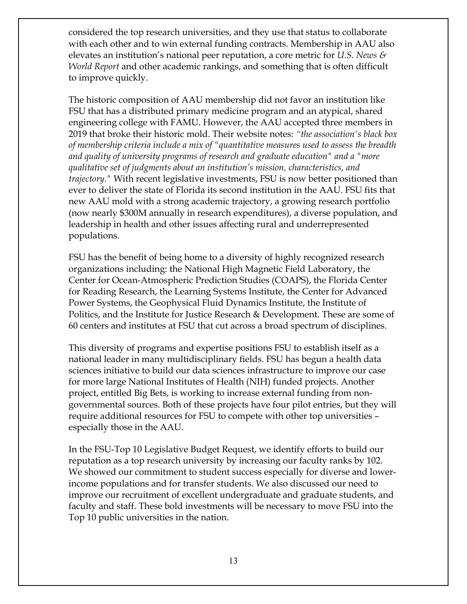considered the top research universities, and they use that status to collaborate with each other and to win external funding contracts. Membership in AAU also elevates an institution's national peer reputation, a core metric for *U.S. News & World Report* and other academic rankings, and something that is often difficult to improve quickly.

The historic composition of AAU membership did not favor an institution like FSU that has a distributed primary medicine program and an atypical, shared engineering college with FAMU. However, the AAU accepted three members in 2019 that broke their historic mold. Their website notes: *"the association's black box of membership criteria include a mix of "quantitative measures used to assess the breadth and quality of university programs of research and graduate education" and a "more qualitative set of judgments about an institution's mission, characteristics, and trajectory."* With recent legislative investments, FSU is now better positioned than ever to deliver the state of Florida its second institution in the AAU. FSU fits that new AAU mold with a strong academic trajectory, a growing research portfolio (now nearly \$300M annually in research expenditures), a diverse population, and leadership in health and other issues affecting rural and underrepresented populations.

FSU has the benefit of being home to a diversity of highly recognized research organizations including: the National High Magnetic Field Laboratory, the Center for Ocean-Atmospheric Prediction Studies (COAPS), the Florida Center for Reading Research, the Learning Systems Institute, the Center for Advanced Power Systems, the Geophysical Fluid Dynamics Institute, the Institute of Politics, and the Institute for Justice Research & Development. These are some of 60 centers and institutes at FSU that cut across a broad spectrum of disciplines.

This diversity of programs and expertise positions FSU to establish itself as a national leader in many multidisciplinary fields. FSU has begun a health data sciences initiative to build our data sciences infrastructure to improve our case for more large National Institutes of Health (NIH) funded projects. Another project, entitled Big Bets, is working to increase external funding from nongovernmental sources. Both of these projects have four pilot entries, but they will require additional resources for FSU to compete with other top universities – especially those in the AAU.

In the FSU-Top 10 Legislative Budget Request, we identify efforts to build our reputation as a top research university by increasing our faculty ranks by 102. We showed our commitment to student success especially for diverse and lowerincome populations and for transfer students. We also discussed our need to improve our recruitment of excellent undergraduate and graduate students, and faculty and staff. These bold investments will be necessary to move FSU into the Top 10 public universities in the nation.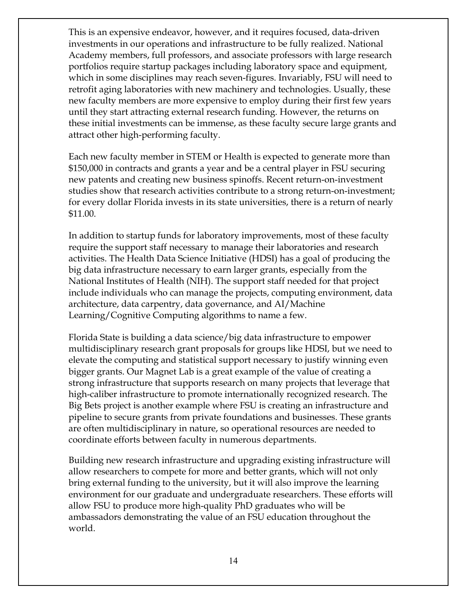This is an expensive endeavor, however, and it requires focused, data-driven investments in our operations and infrastructure to be fully realized. National Academy members, full professors, and associate professors with large research portfolios require startup packages including laboratory space and equipment, which in some disciplines may reach seven-figures. Invariably, FSU will need to retrofit aging laboratories with new machinery and technologies. Usually, these new faculty members are more expensive to employ during their first few years until they start attracting external research funding. However, the returns on these initial investments can be immense, as these faculty secure large grants and attract other high-performing faculty.

Each new faculty member in STEM or Health is expected to generate more than \$150,000 in contracts and grants a year and be a central player in FSU securing new patents and creating new business spinoffs. Recent return-on-investment studies show that research activities contribute to a strong return-on-investment; for every dollar Florida invests in its state universities, there is a return of nearly \$11.00.

In addition to startup funds for laboratory improvements, most of these faculty require the support staff necessary to manage their laboratories and research activities. The Health Data Science Initiative (HDSI) has a goal of producing the big data infrastructure necessary to earn larger grants, especially from the National Institutes of Health (NIH). The support staff needed for that project include individuals who can manage the projects, computing environment, data architecture, data carpentry, data governance, and AI/Machine Learning/Cognitive Computing algorithms to name a few.

Florida State is building a data science/big data infrastructure to empower multidisciplinary research grant proposals for groups like HDSI, but we need to elevate the computing and statistical support necessary to justify winning even bigger grants. Our Magnet Lab is a great example of the value of creating a strong infrastructure that supports research on many projects that leverage that high-caliber infrastructure to promote internationally recognized research. The Big Bets project is another example where FSU is creating an infrastructure and pipeline to secure grants from private foundations and businesses. These grants are often multidisciplinary in nature, so operational resources are needed to coordinate efforts between faculty in numerous departments.

Building new research infrastructure and upgrading existing infrastructure will allow researchers to compete for more and better grants, which will not only bring external funding to the university, but it will also improve the learning environment for our graduate and undergraduate researchers. These efforts will allow FSU to produce more high-quality PhD graduates who will be ambassadors demonstrating the value of an FSU education throughout the world.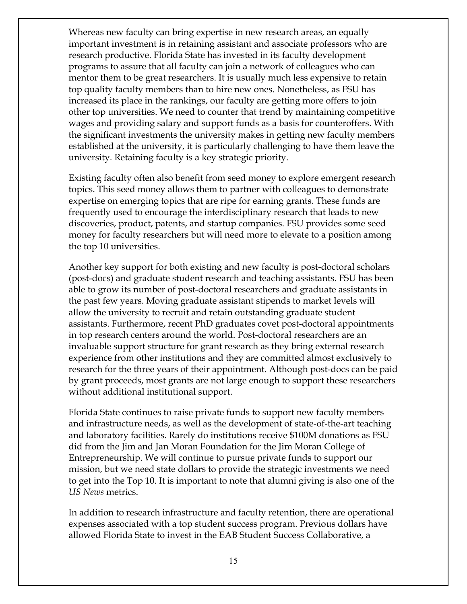Whereas new faculty can bring expertise in new research areas, an equally important investment is in retaining assistant and associate professors who are research productive. Florida State has invested in its faculty development programs to assure that all faculty can join a network of colleagues who can mentor them to be great researchers. It is usually much less expensive to retain top quality faculty members than to hire new ones. Nonetheless, as FSU has increased its place in the rankings, our faculty are getting more offers to join other top universities. We need to counter that trend by maintaining competitive wages and providing salary and support funds as a basis for counteroffers. With the significant investments the university makes in getting new faculty members established at the university, it is particularly challenging to have them leave the university. Retaining faculty is a key strategic priority.

Existing faculty often also benefit from seed money to explore emergent research topics. This seed money allows them to partner with colleagues to demonstrate expertise on emerging topics that are ripe for earning grants. These funds are frequently used to encourage the interdisciplinary research that leads to new discoveries, product, patents, and startup companies. FSU provides some seed money for faculty researchers but will need more to elevate to a position among the top 10 universities.

Another key support for both existing and new faculty is post-doctoral scholars (post-docs) and graduate student research and teaching assistants. FSU has been able to grow its number of post-doctoral researchers and graduate assistants in the past few years. Moving graduate assistant stipends to market levels will allow the university to recruit and retain outstanding graduate student assistants. Furthermore, recent PhD graduates covet post-doctoral appointments in top research centers around the world. Post-doctoral researchers are an invaluable support structure for grant research as they bring external research experience from other institutions and they are committed almost exclusively to research for the three years of their appointment. Although post-docs can be paid by grant proceeds, most grants are not large enough to support these researchers without additional institutional support.

Florida State continues to raise private funds to support new faculty members and infrastructure needs, as well as the development of state-of-the-art teaching and laboratory facilities. Rarely do institutions receive \$100M donations as FSU did from the Jim and Jan Moran Foundation for the Jim Moran College of Entrepreneurship. We will continue to pursue private funds to support our mission, but we need state dollars to provide the strategic investments we need to get into the Top 10. It is important to note that alumni giving is also one of the *US News* metrics.

In addition to research infrastructure and faculty retention, there are operational expenses associated with a top student success program. Previous dollars have allowed Florida State to invest in the EAB Student Success Collaborative, a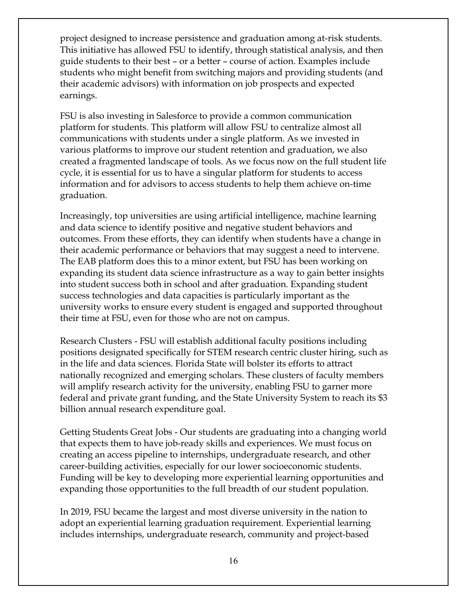project designed to increase persistence and graduation among at-risk students. This initiative has allowed FSU to identify, through statistical analysis, and then guide students to their best – or a better – course of action. Examples include students who might benefit from switching majors and providing students (and their academic advisors) with information on job prospects and expected earnings.

FSU is also investing in Salesforce to provide a common communication platform for students. This platform will allow FSU to centralize almost all communications with students under a single platform. As we invested in various platforms to improve our student retention and graduation, we also created a fragmented landscape of tools. As we focus now on the full student life cycle, it is essential for us to have a singular platform for students to access information and for advisors to access students to help them achieve on-time graduation.

Increasingly, top universities are using artificial intelligence, machine learning and data science to identify positive and negative student behaviors and outcomes. From these efforts, they can identify when students have a change in their academic performance or behaviors that may suggest a need to intervene. The EAB platform does this to a minor extent, but FSU has been working on expanding its student data science infrastructure as a way to gain better insights into student success both in school and after graduation. Expanding student success technologies and data capacities is particularly important as the university works to ensure every student is engaged and supported throughout their time at FSU, even for those who are not on campus.

Research Clusters - FSU will establish additional faculty positions including positions designated specifically for STEM research centric cluster hiring, such as in the life and data sciences. Florida State will bolster its efforts to attract nationally recognized and emerging scholars. These clusters of faculty members will amplify research activity for the university, enabling FSU to garner more federal and private grant funding, and the State University System to reach its \$3 billion annual research expenditure goal.

Getting Students Great Jobs - Our students are graduating into a changing world that expects them to have job-ready skills and experiences. We must focus on creating an access pipeline to internships, undergraduate research, and other career-building activities, especially for our lower socioeconomic students. Funding will be key to developing more experiential learning opportunities and expanding those opportunities to the full breadth of our student population.

In 2019, FSU became the largest and most diverse university in the nation to adopt an experiential learning graduation requirement. Experiential learning includes internships, undergraduate research, community and project-based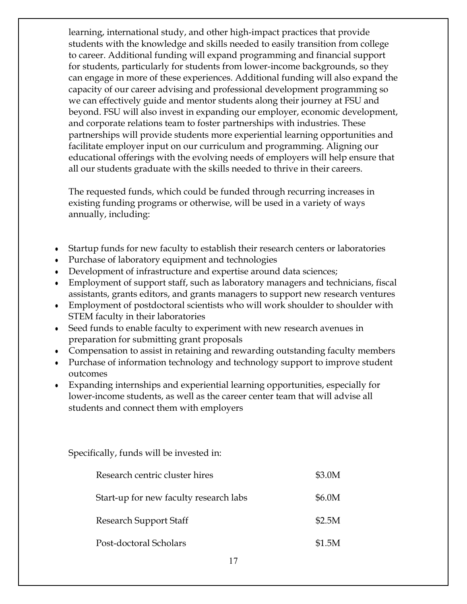learning, international study, and other high-impact practices that provide students with the knowledge and skills needed to easily transition from college to career. Additional funding will expand programming and financial support for students, particularly for students from lower-income backgrounds, so they can engage in more of these experiences. Additional funding will also expand the capacity of our career advising and professional development programming so we can effectively guide and mentor students along their journey at FSU and beyond. FSU will also invest in expanding our employer, economic development, and corporate relations team to foster partnerships with industries. These partnerships will provide students more experiential learning opportunities and facilitate employer input on our curriculum and programming. Aligning our educational offerings with the evolving needs of employers will help ensure that all our students graduate with the skills needed to thrive in their careers.

The requested funds, which could be funded through recurring increases in existing funding programs or otherwise, will be used in a variety of ways annually, including:

- Startup funds for new faculty to establish their research centers or laboratories
- Purchase of laboratory equipment and technologies
- Development of infrastructure and expertise around data sciences;
- Employment of support staff, such as laboratory managers and technicians, fiscal assistants, grants editors, and grants managers to support new research ventures
- Employment of postdoctoral scientists who will work shoulder to shoulder with STEM faculty in their laboratories
- Seed funds to enable faculty to experiment with new research avenues in preparation for submitting grant proposals
- Compensation to assist in retaining and rewarding outstanding faculty members
- Purchase of information technology and technology support to improve student outcomes
- Expanding internships and experiential learning opportunities, especially for lower-income students, as well as the career center team that will advise all students and connect them with employers

Specifically, funds will be invested in:

| Research centric cluster hires         | \$3.0M |
|----------------------------------------|--------|
| Start-up for new faculty research labs | \$6.0M |
| Research Support Staff                 | \$2.5M |
| Post-doctoral Scholars                 | \$1.5M |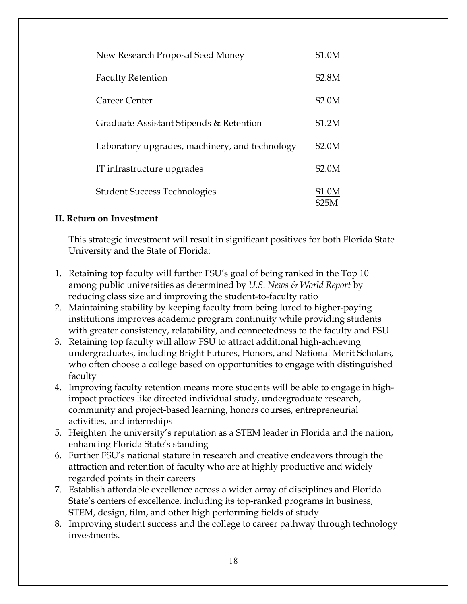| New Research Proposal Seed Money               | \$1.0M          |
|------------------------------------------------|-----------------|
| <b>Faculty Retention</b>                       | \$2.8M          |
| Career Center                                  | \$2.0M          |
| Graduate Assistant Stipends & Retention        | \$1.2M          |
| Laboratory upgrades, machinery, and technology | \$2.0M          |
| IT infrastructure upgrades                     | \$2.0M          |
| <b>Student Success Technologies</b>            | \$1.0M<br>\$25M |

## **II. Return on Investment**

This strategic investment will result in significant positives for both Florida State University and the State of Florida:

- 1. Retaining top faculty will further FSU's goal of being ranked in the Top 10 among public universities as determined by *U.S. News & World Report* by reducing class size and improving the student-to-faculty ratio
- 2. Maintaining stability by keeping faculty from being lured to higher-paying institutions improves academic program continuity while providing students with greater consistency, relatability, and connectedness to the faculty and FSU
- 3. Retaining top faculty will allow FSU to attract additional high-achieving undergraduates, including Bright Futures, Honors, and National Merit Scholars, who often choose a college based on opportunities to engage with distinguished faculty
- 4. Improving faculty retention means more students will be able to engage in highimpact practices like directed individual study, undergraduate research, community and project-based learning, honors courses, entrepreneurial activities, and internships
- 5. Heighten the university's reputation as a STEM leader in Florida and the nation, enhancing Florida State's standing
- 6. Further FSU's national stature in research and creative endeavors through the attraction and retention of faculty who are at highly productive and widely regarded points in their careers
- 7. Establish affordable excellence across a wider array of disciplines and Florida State's centers of excellence, including its top-ranked programs in business, STEM, design, film, and other high performing fields of study
- 8. Improving student success and the college to career pathway through technology investments.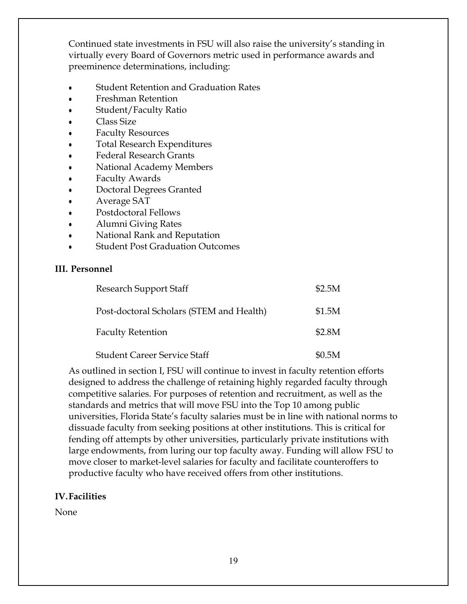Continued state investments in FSU will also raise the university's standing in virtually every Board of Governors metric used in performance awards and preeminence determinations, including:

- **Student Retention and Graduation Rates**
- **Freshman Retention**
- Student/Faculty Ratio
- Class Size
- **Faculty Resources**
- **Total Research Expenditures**
- **Federal Research Grants**
- National Academy Members
- **Faculty Awards**
- Doctoral Degrees Granted
- Average SAT
- Postdoctoral Fellows
- Alumni Giving Rates
- National Rank and Reputation
- **Student Post Graduation Outcomes**

#### **III. Personnel**

| <b>Research Support Staff</b>            | \$2.5M |
|------------------------------------------|--------|
| Post-doctoral Scholars (STEM and Health) | \$1.5M |
| <b>Faculty Retention</b>                 | \$2.8M |
| <b>Student Career Service Staff</b>      | \$0.5M |

As outlined in section I, FSU will continue to invest in faculty retention efforts designed to address the challenge of retaining highly regarded faculty through competitive salaries. For purposes of retention and recruitment, as well as the standards and metrics that will move FSU into the Top 10 among public universities, Florida State's faculty salaries must be in line with national norms to dissuade faculty from seeking positions at other institutions. This is critical for fending off attempts by other universities, particularly private institutions with large endowments, from luring our top faculty away. Funding will allow FSU to move closer to market-level salaries for faculty and facilitate counteroffers to productive faculty who have received offers from other institutions.

# **IV. Facilities**

None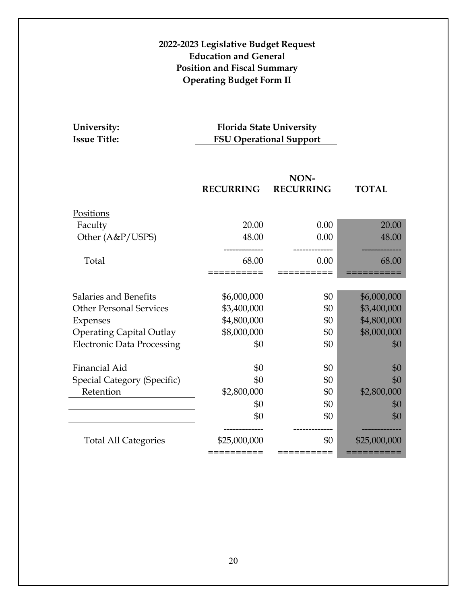# **2022-2023 Legislative Budget Request Education and General Position and Fiscal Summary Operating Budget Form II**

| University:         |  |
|---------------------|--|
| <b>Issue Title:</b> |  |

**University: Florida State University ISU Operational Support** 

|                                   | NON-                      |                  |                          |
|-----------------------------------|---------------------------|------------------|--------------------------|
|                                   | <b>RECURRING</b>          | <b>RECURRING</b> | <b>TOTAL</b>             |
|                                   |                           |                  |                          |
| Positions                         |                           |                  |                          |
| Faculty                           | 20.00                     | 0.00             | 20.00                    |
| Other (A&P/USPS)                  | 48.00                     | 0.00             | 48.00                    |
|                                   |                           |                  |                          |
| Total                             | 68.00                     | 0.00             | 68.00                    |
|                                   |                           |                  |                          |
|                                   |                           |                  |                          |
| Salaries and Benefits             | \$6,000,000               | \$0              | \$6,000,000              |
| <b>Other Personal Services</b>    | \$3,400,000               | \$0              | \$3,400,000              |
| Expenses                          | \$4,800,000               | \$0              | \$4,800,000              |
| <b>Operating Capital Outlay</b>   | \$8,000,000               | \$0              | \$8,000,000              |
| <b>Electronic Data Processing</b> | \$0                       | \$0              | \$0                      |
| Financial Aid                     | \$0                       | \$0              | \$0                      |
|                                   |                           |                  |                          |
| Special Category (Specific)       | \$0                       | \$0              | \$0                      |
| Retention                         | \$2,800,000               | \$0              | \$2,800,000              |
|                                   | \$0                       | \$0              | \$0                      |
|                                   | \$0                       | \$0              | \$0                      |
|                                   |                           |                  |                          |
| <b>Total All Categories</b>       | \$25,000,000<br>========= | \$0<br>========= | \$25,000,000<br>======== |
|                                   |                           |                  |                          |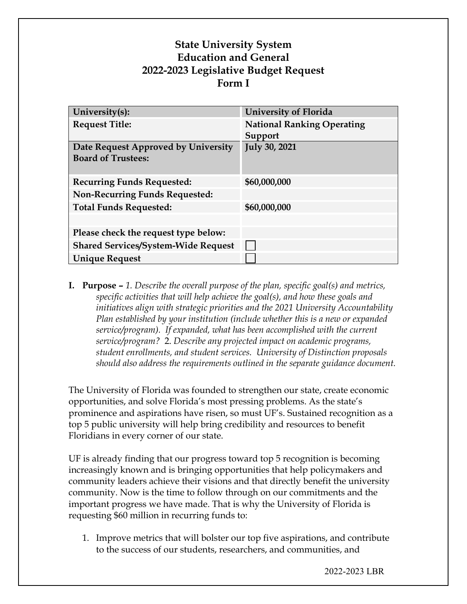# **State University System Education and General 2022-2023 Legislative Budget Request Form I**

| University(s):                             | <b>University of Florida</b>      |
|--------------------------------------------|-----------------------------------|
| <b>Request Title:</b>                      | <b>National Ranking Operating</b> |
|                                            | Support                           |
| Date Request Approved by University        | <b>July 30, 2021</b>              |
| <b>Board of Trustees:</b>                  |                                   |
|                                            |                                   |
| <b>Recurring Funds Requested:</b>          | \$60,000,000                      |
| <b>Non-Recurring Funds Requested:</b>      |                                   |
| <b>Total Funds Requested:</b>              | \$60,000,000                      |
|                                            |                                   |
| Please check the request type below:       |                                   |
| <b>Shared Services/System-Wide Request</b> |                                   |
| <b>Unique Request</b>                      |                                   |

**I. Purpose –** *1. Describe the overall purpose of the plan, specific goal(s) and metrics, specific activities that will help achieve the goal(s), and how these goals and initiatives align with strategic priorities and the 2021 University Accountability Plan established by your institution (include whether this is a new or expanded service/program). If expanded, what has been accomplished with the current service/program?* 2. *Describe any projected impact on academic programs, student enrollments, and student services. University of Distinction proposals should also address the requirements outlined in the separate guidance document.*

The University of Florida was founded to strengthen our state, create economic opportunities, and solve Florida's most pressing problems. As the state's prominence and aspirations have risen, so must UF's. Sustained recognition as a top 5 public university will help bring credibility and resources to benefit Floridians in every corner of our state.

UF is already finding that our progress toward top 5 recognition is becoming increasingly known and is bringing opportunities that help policymakers and community leaders achieve their visions and that directly benefit the university community. Now is the time to follow through on our commitments and the important progress we have made. That is why the University of Florida is requesting \$60 million in recurring funds to:

1. Improve metrics that will bolster our top five aspirations, and contribute to the success of our students, researchers, and communities, and

2022-2023 LBR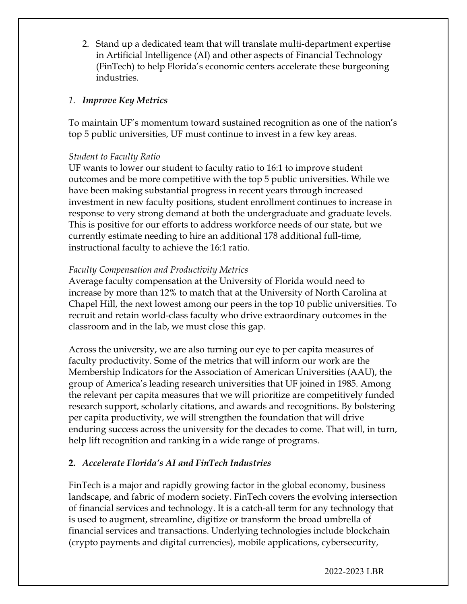2. Stand up a dedicated team that will translate multi-department expertise in Artificial Intelligence (AI) and other aspects of Financial Technology (FinTech) to help Florida's economic centers accelerate these burgeoning industries.

## *1. Improve Key Metrics*

To maintain UF's momentum toward sustained recognition as one of the nation's top 5 public universities, UF must continue to invest in a few key areas.

## *Student to Faculty Ratio*

UF wants to lower our student to faculty ratio to 16:1 to improve student outcomes and be more competitive with the top 5 public universities. While we have been making substantial progress in recent years through increased investment in new faculty positions, student enrollment continues to increase in response to very strong demand at both the undergraduate and graduate levels. This is positive for our efforts to address workforce needs of our state, but we currently estimate needing to hire an additional 178 additional full-time, instructional faculty to achieve the 16:1 ratio.

## *Faculty Compensation and Productivity Metrics*

Average faculty compensation at the University of Florida would need to increase by more than 12% to match that at the University of North Carolina at Chapel Hill, the next lowest among our peers in the top 10 public universities. To recruit and retain world-class faculty who drive extraordinary outcomes in the classroom and in the lab, we must close this gap.

Across the university, we are also turning our eye to per capita measures of faculty productivity. Some of the metrics that will inform our work are the Membership Indicators for the Association of American Universities (AAU), the group of America's leading research universities that UF joined in 1985. Among the relevant per capita measures that we will prioritize are competitively funded research support, scholarly citations, and awards and recognitions. By bolstering per capita productivity, we will strengthen the foundation that will drive enduring success across the university for the decades to come. That will, in turn, help lift recognition and ranking in a wide range of programs.

# **2.** *Accelerate Florida's AI and FinTech Industries*

FinTech is a major and rapidly growing factor in the global economy, business landscape, and fabric of modern society. FinTech covers the evolving intersection of financial services and technology. It is a catch-all term for any technology that is used to augment, streamline, digitize or transform the broad umbrella of financial services and transactions. Underlying technologies include blockchain (crypto payments and digital currencies), mobile applications, cybersecurity,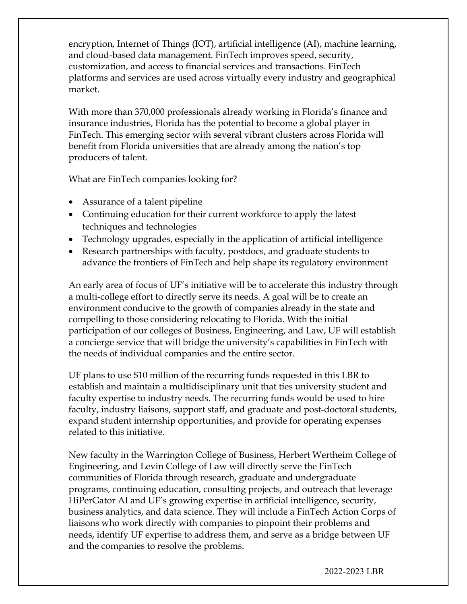encryption, Internet of Things (IOT), artificial intelligence (AI), machine learning, and cloud-based data management. FinTech improves speed, security, customization, and access to financial services and transactions. FinTech platforms and services are used across virtually every industry and geographical market.

With more than 370,000 professionals already working in Florida's finance and insurance industries, Florida has the potential to become a global player in FinTech. This emerging sector with several vibrant clusters across Florida will benefit from Florida universities that are already among the nation's top producers of talent.

What are FinTech companies looking for?

- Assurance of a talent pipeline
- Continuing education for their current workforce to apply the latest techniques and technologies
- Technology upgrades, especially in the application of artificial intelligence
- Research partnerships with faculty, postdocs, and graduate students to advance the frontiers of FinTech and help shape its regulatory environment

An early area of focus of UF's initiative will be to accelerate this industry through a multi-college effort to directly serve its needs. A goal will be to create an environment conducive to the growth of companies already in the state and compelling to those considering relocating to Florida. With the initial participation of our colleges of Business, Engineering, and Law, UF will establish a concierge service that will bridge the university's capabilities in FinTech with the needs of individual companies and the entire sector.

UF plans to use \$10 million of the recurring funds requested in this LBR to establish and maintain a multidisciplinary unit that ties university student and faculty expertise to industry needs. The recurring funds would be used to hire faculty, industry liaisons, support staff, and graduate and post-doctoral students, expand student internship opportunities, and provide for operating expenses related to this initiative.

New faculty in the Warrington College of Business, Herbert Wertheim College of Engineering, and Levin College of Law will directly serve the FinTech communities of Florida through research, graduate and undergraduate programs, continuing education, consulting projects, and outreach that leverage HiPerGator AI and UF's growing expertise in artificial intelligence, security, business analytics, and data science. They will include a FinTech Action Corps of liaisons who work directly with companies to pinpoint their problems and needs, identify UF expertise to address them, and serve as a bridge between UF and the companies to resolve the problems.

2022-2023 LBR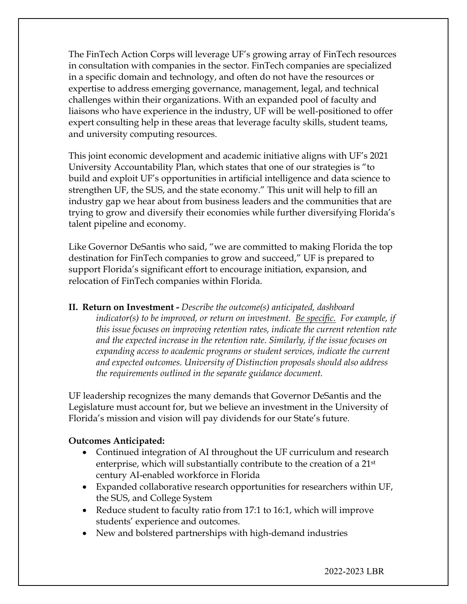The FinTech Action Corps will leverage UF's growing array of FinTech resources in consultation with companies in the sector. FinTech companies are specialized in a specific domain and technology, and often do not have the resources or expertise to address emerging governance, management, legal, and technical challenges within their organizations. With an expanded pool of faculty and liaisons who have experience in the industry, UF will be well-positioned to offer expert consulting help in these areas that leverage faculty skills, student teams, and university computing resources.

This joint economic development and academic initiative aligns with UF's 2021 University Accountability Plan, which states that one of our strategies is "to build and exploit UF's opportunities in artificial intelligence and data science to strengthen UF, the SUS, and the state economy." This unit will help to fill an industry gap we hear about from business leaders and the communities that are trying to grow and diversify their economies while further diversifying Florida's talent pipeline and economy.

Like Governor DeSantis who said, "we are committed to making Florida the top destination for FinTech companies to grow and succeed," UF is prepared to support Florida's significant effort to encourage initiation, expansion, and relocation of FinTech companies within Florida.

**II. Return on Investment -** *Describe the outcome(s) anticipated, dashboard indicator(s) to be improved, or return on investment. Be specific. For example, if this issue focuses on improving retention rates, indicate the current retention rate and the expected increase in the retention rate. Similarly, if the issue focuses on expanding access to academic programs or student services, indicate the current and expected outcomes. University of Distinction proposals should also address the requirements outlined in the separate guidance document.*

UF leadership recognizes the many demands that Governor DeSantis and the Legislature must account for, but we believe an investment in the University of Florida's mission and vision will pay dividends for our State's future.

#### **Outcomes Anticipated:**

- Continued integration of AI throughout the UF curriculum and research enterprise, which will substantially contribute to the creation of a 21st century AI-enabled workforce in Florida
- Expanded collaborative research opportunities for researchers within UF, the SUS, and College System
- Reduce student to faculty ratio from 17:1 to 16:1, which will improve students' experience and outcomes.
- New and bolstered partnerships with high-demand industries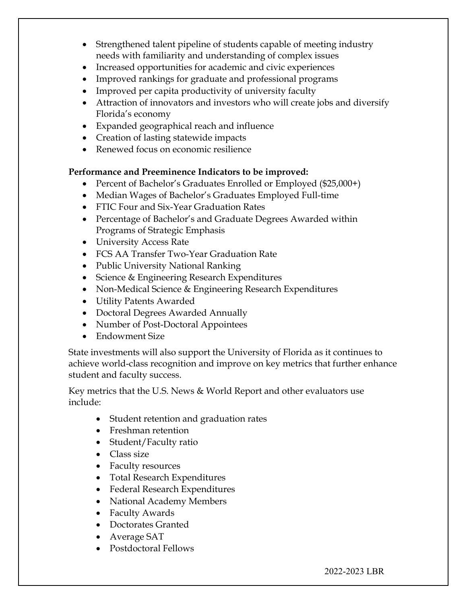- Strengthened talent pipeline of students capable of meeting industry needs with familiarity and understanding of complex issues
- Increased opportunities for academic and civic experiences
- Improved rankings for graduate and professional programs
- Improved per capita productivity of university faculty
- Attraction of innovators and investors who will create jobs and diversify Florida's economy
- Expanded geographical reach and influence
- Creation of lasting statewide impacts
- Renewed focus on economic resilience

# **Performance and Preeminence Indicators to be improved:**

- Percent of Bachelor's Graduates Enrolled or Employed (\$25,000+)
- Median Wages of Bachelor's Graduates Employed Full-time
- FTIC Four and Six-Year Graduation Rates
- Percentage of Bachelor's and Graduate Degrees Awarded within Programs of Strategic Emphasis
- University Access Rate
- FCS AA Transfer Two-Year Graduation Rate
- Public University National Ranking
- Science & Engineering Research Expenditures
- Non-Medical Science & Engineering Research Expenditures
- Utility Patents Awarded
- Doctoral Degrees Awarded Annually
- Number of Post-Doctoral Appointees
- Endowment Size

State investments will also support the University of Florida as it continues to achieve world-class recognition and improve on key metrics that further enhance student and faculty success.

Key metrics that the U.S. News & World Report and other evaluators use include:

- Student retention and graduation rates
- Freshman retention
- Student/Faculty ratio
- Class size
- Faculty resources
- Total Research Expenditures
- Federal Research Expenditures
- National Academy Members
- Faculty Awards
- Doctorates Granted
- Average SAT
- Postdoctoral Fellows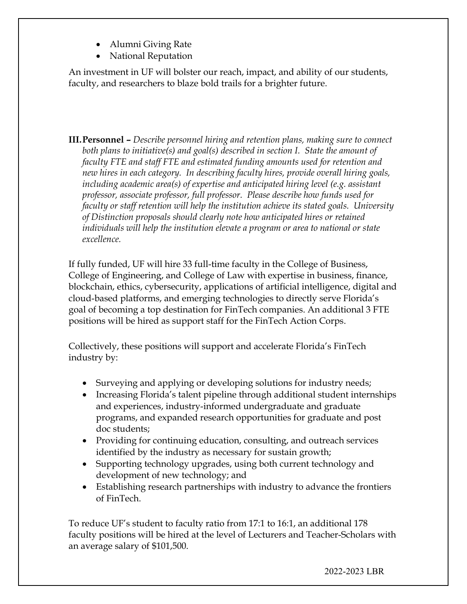- Alumni Giving Rate
- National Reputation

An investment in UF will bolster our reach, impact, and ability of our students, faculty, and researchers to blaze bold trails for a brighter future.

**III.Personnel –** *Describe personnel hiring and retention plans, making sure to connect both plans to initiative(s) and goal(s) described in section I. State the amount of faculty FTE and staff FTE and estimated funding amounts used for retention and new hires in each category. In describing faculty hires, provide overall hiring goals, including academic area(s) of expertise and anticipated hiring level (e.g. assistant professor, associate professor, full professor. Please describe how funds used for faculty or staff retention will help the institution achieve its stated goals. University of Distinction proposals should clearly note how anticipated hires or retained individuals will help the institution elevate a program or area to national or state excellence.*

If fully funded, UF will hire 33 full-time faculty in the College of Business, College of Engineering, and College of Law with expertise in business, finance, blockchain, ethics, cybersecurity, applications of artificial intelligence, digital and cloud-based platforms, and emerging technologies to directly serve Florida's goal of becoming a top destination for FinTech companies. An additional 3 FTE positions will be hired as support staff for the FinTech Action Corps.

Collectively, these positions will support and accelerate Florida's FinTech industry by:

- Surveying and applying or developing solutions for industry needs;
- Increasing Florida's talent pipeline through additional student internships and experiences, industry-informed undergraduate and graduate programs, and expanded research opportunities for graduate and post doc students;
- Providing for continuing education, consulting, and outreach services identified by the industry as necessary for sustain growth;
- Supporting technology upgrades, using both current technology and development of new technology; and
- Establishing research partnerships with industry to advance the frontiers of FinTech.

To reduce UF's student to faculty ratio from 17:1 to 16:1, an additional 178 faculty positions will be hired at the level of Lecturers and Teacher-Scholars with an average salary of \$101,500.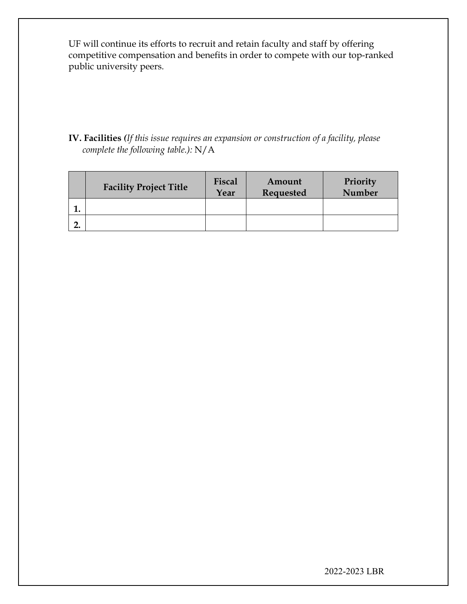UF will continue its efforts to recruit and retain faculty and staff by offering competitive compensation and benefits in order to compete with our top-ranked public university peers.

**IV. Facilities** *(If this issue requires an expansion or construction of a facility, please complete the following table.):* N/A

|    | <b>Facility Project Title</b> | Fiscal<br>Year | Amount<br>Requested | Priority<br><b>Number</b> |
|----|-------------------------------|----------------|---------------------|---------------------------|
| ı. |                               |                |                     |                           |
| ٠. |                               |                |                     |                           |

2022-2023 LBR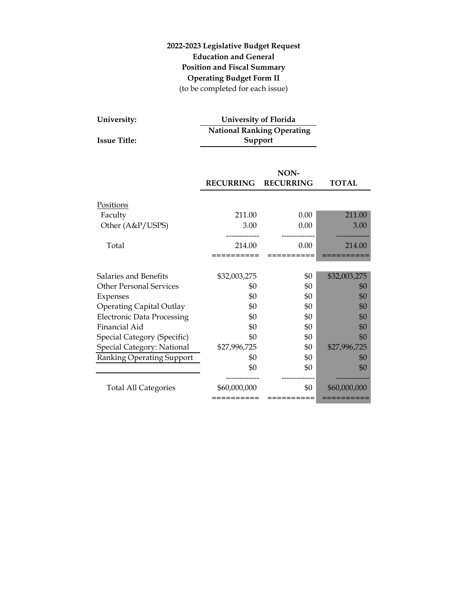# **2022-2023 Legislative Budget Request Education and General Position and Fiscal Summary Operating Budget Form II** (to be completed for each issue)

| University:         | <b>University of Florida</b>      |
|---------------------|-----------------------------------|
|                     | <b>National Ranking Operating</b> |
| <b>Issue Title:</b> | Support                           |

|                                   | NON-                     |                  |              |  |
|-----------------------------------|--------------------------|------------------|--------------|--|
|                                   | <b>RECURRING</b>         | <b>RECURRING</b> | <b>TOTAL</b> |  |
| Positions                         |                          |                  |              |  |
| Faculty                           | 211.00                   | 0.00             | 211.00       |  |
| Other (A&P/USPS)                  | 3.00                     | 0.00             | 3.00         |  |
|                                   |                          |                  |              |  |
| Total                             | 214.00                   | 0.00             | 214.00       |  |
|                                   |                          |                  |              |  |
|                                   |                          |                  |              |  |
| Salaries and Benefits             | \$32,003,275             | \$0              | \$32,003,275 |  |
| <b>Other Personal Services</b>    | \$0                      | \$0              | \$0          |  |
| Expenses                          | \$0                      | \$0              | \$0          |  |
| <b>Operating Capital Outlay</b>   | \$0                      | \$0              | \$0          |  |
| <b>Electronic Data Processing</b> | \$0                      | \$0              | \$0          |  |
| Financial Aid                     | \$0                      | \$0              | \$0          |  |
| Special Category (Specific)       | \$0                      | \$0              | \$0          |  |
| Special Category: National        | \$27,996,725             | \$0              | \$27,996,725 |  |
| <b>Ranking Operating Support</b>  | \$0                      | \$0              | \$0          |  |
|                                   | \$0                      | \$0              | \$0          |  |
| <b>Total All Categories</b>       | \$60,000,000<br>======== | \$0              | \$60,000,000 |  |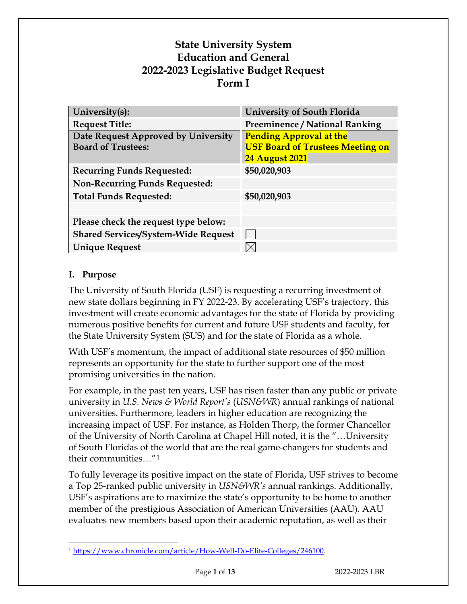# **State University System Education and General 2022-2023 Legislative Budget Request Form I**

| University(s):                                                   | <b>University of South Florida</b>                                                                 |
|------------------------------------------------------------------|----------------------------------------------------------------------------------------------------|
| <b>Request Title:</b>                                            | <b>Preeminence / National Ranking</b>                                                              |
| Date Request Approved by University<br><b>Board of Trustees:</b> | <b>Pending Approval at the</b><br><b>USF Board of Trustees Meeting on</b><br><b>24 August 2021</b> |
| <b>Recurring Funds Requested:</b>                                | \$50,020,903                                                                                       |
| <b>Non-Recurring Funds Requested:</b>                            |                                                                                                    |
| <b>Total Funds Requested:</b>                                    | \$50,020,903                                                                                       |
|                                                                  |                                                                                                    |
| Please check the request type below:                             |                                                                                                    |
| <b>Shared Services/System-Wide Request</b>                       |                                                                                                    |
| <b>Unique Request</b>                                            |                                                                                                    |

# **I. Purpose**

The University of South Florida (USF) is requesting a recurring investment of new state dollars beginning in FY 2022-23. By accelerating USF's trajectory, this investment will create economic advantages for the state of Florida by providing numerous positive benefits for current and future USF students and faculty, for the State University System (SUS) and for the state of Florida as a whole.

With USF's momentum, the impact of additional state resources of \$50 million represents an opportunity for the state to further support one of the most promising universities in the nation.

For example, in the past ten years, USF has risen faster than any public or private university in *U.S. News & World Report's* (*USN&WR*) annual rankings of national universities. Furthermore, leaders in higher education are recognizing the increasing impact of USF. For instance, as Holden Thorp, the former Chancellor of the University of North Carolina at Chapel Hill noted, it is the "…University of South Floridas of the world that are the real game-changers for students and their communities…"[1](#page-27-0)

To fully leverage its positive impact on the state of Florida, USF strives to become a Top 25-ranked public university in *USN&WR's* annual rankings. Additionally, USF's aspirations are to maximize the state's opportunity to be home to another member of the prestigious Association of American Universities (AAU). AAU evaluates new members based upon their academic reputation, as well as their

<span id="page-27-0"></span><sup>1</sup> [https://www.chronicle.com/article/How-Well-Do-Elite-Colleges/246100.](https://www.chronicle.com/article/How-Well-Do-Elite-Colleges/246100)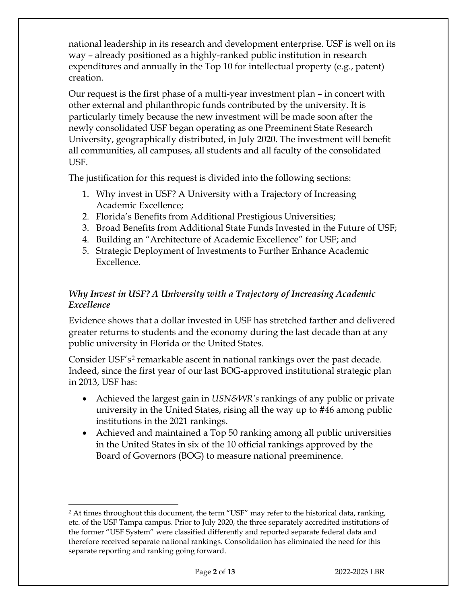national leadership in its research and development enterprise. USF is well on its way – already positioned as a highly-ranked public institution in research expenditures and annually in the Top 10 for intellectual property (e.g., patent) creation.

Our request is the first phase of a multi-year investment plan – in concert with other external and philanthropic funds contributed by the university. It is particularly timely because the new investment will be made soon after the newly consolidated USF began operating as one Preeminent State Research University, geographically distributed, in July 2020. The investment will benefit all communities, all campuses, all students and all faculty of the consolidated USF.

The justification for this request is divided into the following sections:

- 1. Why invest in USF? A University with a Trajectory of Increasing Academic Excellence;
- 2. Florida's Benefits from Additional Prestigious Universities;
- 3. Broad Benefits from Additional State Funds Invested in the Future of USF;
- 4. Building an "Architecture of Academic Excellence" for USF; and
- 5. Strategic Deployment of Investments to Further Enhance Academic Excellence.

# *Why Invest in USF? A University with a Trajectory of Increasing Academic Excellence*

Evidence shows that a dollar invested in USF has stretched farther and delivered greater returns to students and the economy during the last decade than at any public university in Florida or the United States.

Consider USF's<sup>[2](#page-28-0)</sup> remarkable ascent in national rankings over the past decade. Indeed, since the first year of our last BOG-approved institutional strategic plan in 2013, USF has:

- Achieved the largest gain in *USN&WR's* rankings of any public or private university in the United States, rising all the way up to #46 among public institutions in the 2021 rankings.
- Achieved and maintained a Top 50 ranking among all public universities in the United States in six of the 10 official rankings approved by the Board of Governors (BOG) to measure national preeminence.

<span id="page-28-0"></span><sup>&</sup>lt;sup>2</sup> At times throughout this document, the term "USF" may refer to the historical data, ranking, etc. of the USF Tampa campus. Prior to July 2020, the three separately accredited institutions of the former "USF System" were classified differently and reported separate federal data and therefore received separate national rankings. Consolidation has eliminated the need for this separate reporting and ranking going forward.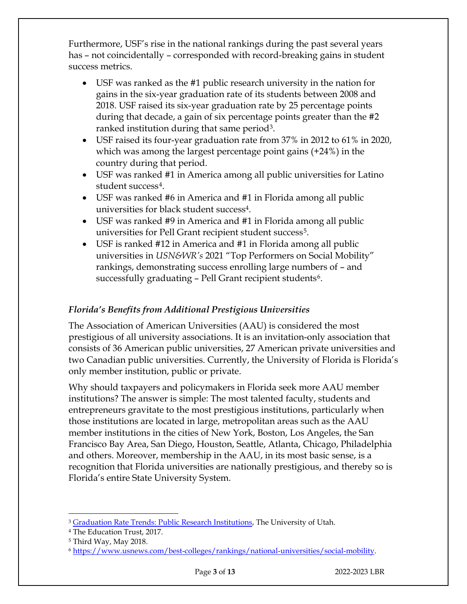Furthermore, USF's rise in the national rankings during the past several years has – not coincidentally – corresponded with record-breaking gains in student success metrics.

- USF was ranked as the #1 public research university in the nation for gains in the six-year graduation rate of its students between 2008 and 2018. USF raised its six-year graduation rate by 25 percentage points during that decade, a gain of six percentage points greater than the #2 ranked institution during that same period<sup>3</sup>.
- USF raised its four-year graduation rate from 37% in 2012 to 61% in 2020, which was among the largest percentage point gains (+24%) in the country during that period.
- <span id="page-29-0"></span>• USF was ranked #1 in America among all public universities for Latino student success[4.](#page-29-2)
- USF was ranked #6 in America and #1 in Florida among all public universities for black student succes[s4.](#page-29-0)
- USF was ranked #9 in America and #1 in Florida among all public universities for Pell Grant recipient student success<sup>[5](#page-29-3)</sup>.
- USF is ranked #12 in America and #1 in Florida among all public universities in *USN&WR's* 2021 "Top Performers on Social Mobility" rankings, demonstrating success enrolling large numbers of – and successfully graduating  $-$  Pell Grant recipient students<sup>[6](#page-29-4)</sup>.

# *Florida's Benefits from Additional Prestigious Universities*

The Association of American Universities (AAU) is considered the most prestigious of all university associations. It is an invitation-only association that consists of 36 American public universities, 27 American private universities and two Canadian public universities. Currently, the University of Florida is Florida's only member institution, public or private.

Why should taxpayers and policymakers in Florida seek more AAU member institutions? The answer is simple: The most talented faculty, students and entrepreneurs gravitate to the most prestigious institutions, particularly when those institutions are located in large, metropolitan areas such as the AAU member institutions in the cities of New York, Boston, Los Angeles, the San Francisco Bay Area, San Diego, Houston, Seattle, Atlanta, Chicago, Philadelphia and others. Moreover, membership in the AAU, in its most basic sense, is a recognition that Florida universities are nationally prestigious, and thereby so is Florida's entire State University System.

<span id="page-29-1"></span><sup>&</sup>lt;sup>3</sup> [Graduation Rate Trends: Public Research Institutions,](https://tableau.dashboard.utah.edu/t/idmv/views/GraduationRateTrendsPublicResearchInstitutions/Dashboard1?iframeSizedToWindow=true&:embed=y&:showAppBanner=false&:display_count=no&:showVizHome=no&:origin=viz_share_link) The University of Utah.

<span id="page-29-2"></span><sup>4</sup> The Education Trust, 2017.

<span id="page-29-3"></span><sup>5</sup> Third Way, May 2018.

<span id="page-29-4"></span><sup>6</sup> [https://www.usnews.com/best-colleges/rankings/national-universities/social-mobility.](https://www.usnews.com/best-colleges/rankings/national-universities/social-mobility)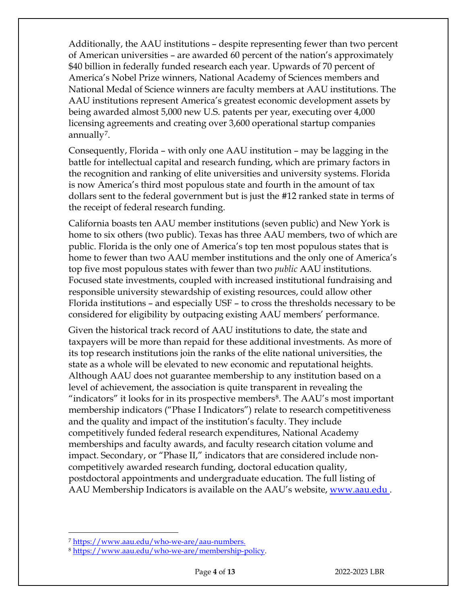Additionally, the AAU institutions – despite representing fewer than two percent of American universities – are awarded 60 percent of the nation's approximately \$40 billion in federally funded research each year. Upwards of 70 percent of America's Nobel Prize winners, National Academy of Sciences members and National Medal of Science winners are faculty members at AAU institutions. The AAU institutions represent America's greatest economic development assets by being awarded almost 5,000 new U.S. patents per year, executing over 4,000 licensing agreements and creating over 3,600 operational startup companies annually<sup>[7](#page-30-0)</sup>.

Consequently, Florida – with only one AAU institution – may be lagging in the battle for intellectual capital and research funding, which are primary factors in the recognition and ranking of elite universities and university systems. Florida is now America's third most populous state and fourth in the amount of tax dollars sent to the federal government but is just the #12 ranked state in terms of the receipt of federal research funding.

California boasts ten AAU member institutions (seven public) and New York is home to six others (two public). Texas has three AAU members, two of which are public. Florida is the only one of America's top ten most populous states that is home to fewer than two AAU member institutions and the only one of America's top five most populous states with fewer than two *public* AAU institutions. Focused state investments, coupled with increased institutional fundraising and responsible university stewardship of existing resources, could allow other Florida institutions – and especially USF – to cross the thresholds necessary to be considered for eligibility by outpacing existing AAU members' performance.

Given the historical track record of AAU institutions to date, the state and taxpayers will be more than repaid for these additional investments. As more of its top research institutions join the ranks of the elite national universities, the state as a whole will be elevated to new economic and reputational heights. Although AAU does not guarantee membership to any institution based on a level of achievement, the association is quite transparent in revealing the "indicators" it looks for in its prospective members[8](#page-30-1). The AAU's most important membership indicators ("Phase I Indicators") relate to research competitiveness and the quality and impact of the institution's faculty. They include competitively funded federal research expenditures, National Academy memberships and faculty awards, and faculty research citation volume and impact. Secondary, or "Phase II," indicators that are considered include noncompetitively awarded research funding, doctoral education quality, postdoctoral appointments and undergraduate education. The full listing of AAU Membership Indicators is available on the AAU's website, [www.aau.edu](http://www.aau.edu/).

<span id="page-30-1"></span><span id="page-30-0"></span>

<sup>&</sup>lt;sup>7</sup> [https://www.aau.edu/who-we-are/aau-numbers.](https://www.aau.edu/who-we-are/aau-numbers)<br><sup>8</sup> [https://www.aau.edu/who-we-are/membership-policy.](https://www.aau.edu/who-we-are/membership-policy)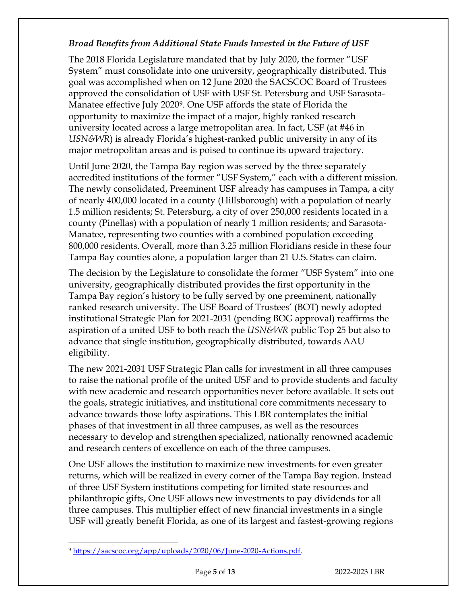# *Broad Benefits from Additional State Funds Invested in the Future of USF*

The 2018 Florida Legislature mandated that by July 2020, the former "USF System" must consolidate into one university, geographically distributed. This goal was accomplished when on 12 June 2020 the SACSCOC Board of Trustees approved the consolidation of USF with USF St. Petersburg and USF Sarasota-Manatee effective July 2020[9](#page-31-0). One USF affords the state of Florida the opportunity to maximize the impact of a major, highly ranked research university located across a large metropolitan area. In fact, USF (at #46 in *USN&WR*) is already Florida's highest-ranked public university in any of its major metropolitan areas and is poised to continue its upward trajectory.

Until June 2020, the Tampa Bay region was served by the three separately accredited institutions of the former "USF System," each with a different mission. The newly consolidated, Preeminent USF already has campuses in Tampa, a city of nearly 400,000 located in a county (Hillsborough) with a population of nearly 1.5 million residents; St. Petersburg, a city of over 250,000 residents located in a county (Pinellas) with a population of nearly 1 million residents; and Sarasota-Manatee, representing two counties with a combined population exceeding 800,000 residents. Overall, more than 3.25 million Floridians reside in these four Tampa Bay counties alone, a population larger than 21 U.S. States can claim.

The decision by the Legislature to consolidate the former "USF System" into one university, geographically distributed provides the first opportunity in the Tampa Bay region's history to be fully served by one preeminent, nationally ranked research university. The USF Board of Trustees' (BOT) newly adopted institutional Strategic Plan for 2021-2031 (pending BOG approval) reaffirms the aspiration of a united USF to both reach the *USN&WR* public Top 25 but also to advance that single institution, geographically distributed, towards AAU eligibility.

The new 2021-2031 USF Strategic Plan calls for investment in all three campuses to raise the national profile of the united USF and to provide students and faculty with new academic and research opportunities never before available. It sets out the goals, strategic initiatives, and institutional core commitments necessary to advance towards those lofty aspirations. This LBR contemplates the initial phases of that investment in all three campuses, as well as the resources necessary to develop and strengthen specialized, nationally renowned academic and research centers of excellence on each of the three campuses.

One USF allows the institution to maximize new investments for even greater returns, which will be realized in every corner of the Tampa Bay region. Instead of three USF System institutions competing for limited state resources and philanthropic gifts, One USF allows new investments to pay dividends for all three campuses. This multiplier effect of new financial investments in a single USF will greatly benefit Florida, as one of its largest and fastest-growing regions

<span id="page-31-0"></span><sup>9</sup> [https://sacscoc.org/app/uploads/2020/06/June-2020-Actions.pdf.](https://sacscoc.org/app/uploads/2020/06/June-2020-Actions.pdf)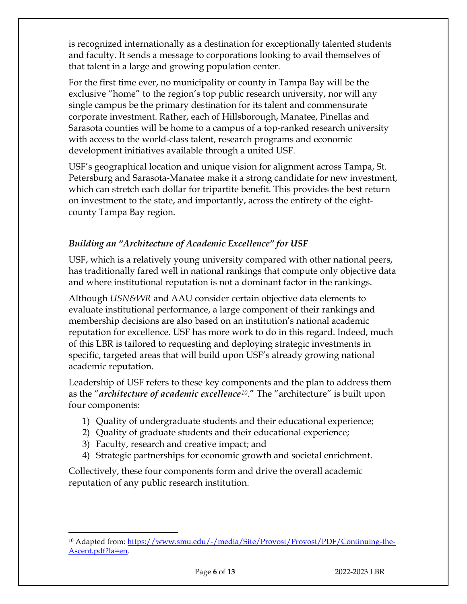is recognized internationally as a destination for exceptionally talented students and faculty. It sends a message to corporations looking to avail themselves of that talent in a large and growing population center.

For the first time ever, no municipality or county in Tampa Bay will be the exclusive "home" to the region's top public research university, nor will any single campus be the primary destination for its talent and commensurate corporate investment. Rather, each of Hillsborough, Manatee, Pinellas and Sarasota counties will be home to a campus of a top-ranked research university with access to the world-class talent, research programs and economic development initiatives available through a united USF.

USF's geographical location and unique vision for alignment across Tampa, St. Petersburg and Sarasota-Manatee make it a strong candidate for new investment, which can stretch each dollar for tripartite benefit. This provides the best return on investment to the state, and importantly, across the entirety of the eightcounty Tampa Bay region.

# *Building an "Architecture of Academic Excellence" for USF*

USF, which is a relatively young university compared with other national peers, has traditionally fared well in national rankings that compute only objective data and where institutional reputation is not a dominant factor in the rankings.

Although *USN&WR* and AAU consider certain objective data elements to evaluate institutional performance, a large component of their rankings and membership decisions are also based on an institution's national academic reputation for excellence. USF has more work to do in this regard. Indeed, much of this LBR is tailored to requesting and deploying strategic investments in specific, targeted areas that will build upon USF's already growing national academic reputation.

Leadership of USF refers to these key components and the plan to address them as the "*architecture of academic excellence[10](#page-32-0)*." The "architecture" is built upon four components:

- 1) Quality of undergraduate students and their educational experience;
- 2) Quality of graduate students and their educational experience;
- 3) Faculty, research and creative impact; and
- 4) Strategic partnerships for economic growth and societal enrichment.

Collectively, these four components form and drive the overall academic reputation of any public research institution.

<span id="page-32-0"></span><sup>10</sup> Adapted from: [https://www.smu.edu/-/media/Site/Provost/Provost/PDF/Continuing-the-](https://www.smu.edu/-/media/Site/Provost/Provost/PDF/Continuing-the-Ascent.pdf?la=en)[Ascent.pdf?la=en.](https://www.smu.edu/-/media/Site/Provost/Provost/PDF/Continuing-the-Ascent.pdf?la=en)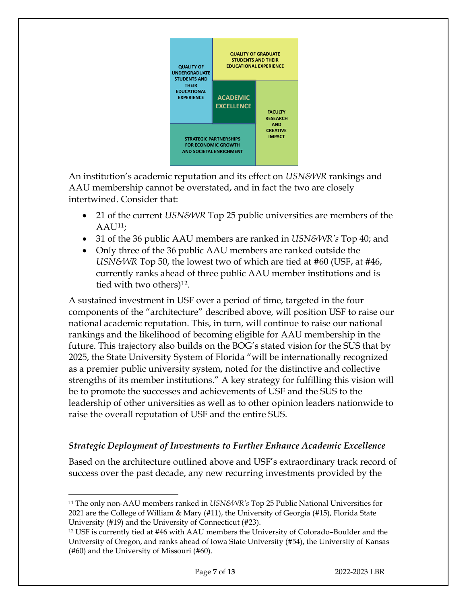

An institution's academic reputation and its effect on *USN&WR* rankings and AAU membership cannot be overstated, and in fact the two are closely intertwined. Consider that:

- 21 of the current *USN&WR* Top 25 public universities are members of the  $AAU^{11}$ ;
- 31 of the 36 public AAU members are ranked in *USN&WR's* Top 40; and
- Only three of the 36 public AAU members are ranked outside the *USN&WR* Top 50, the lowest two of which are tied at #60 (USF, at #46, currently ranks ahead of three public AAU member institutions and is tied with two others)<sup>[12](#page-33-1)</sup>.

A sustained investment in USF over a period of time, targeted in the four components of the "architecture" described above, will position USF to raise our national academic reputation. This, in turn, will continue to raise our national rankings and the likelihood of becoming eligible for AAU membership in the future. This trajectory also builds on the BOG's stated vision for the SUS that by 2025, the State University System of Florida "will be internationally recognized as a premier public university system, noted for the distinctive and collective strengths of its member institutions." A key strategy for fulfilling this vision will be to promote the successes and achievements of USF and the SUS to the leadership of other universities as well as to other opinion leaders nationwide to raise the overall reputation of USF and the entire SUS.

# *Strategic Deployment of Investments to Further Enhance Academic Excellence*

Based on the architecture outlined above and USF's extraordinary track record of success over the past decade, any new recurring investments provided by the

<span id="page-33-0"></span><sup>11</sup> The only non-AAU members ranked in *USN&WR's* Top 25 Public National Universities for 2021 are the College of William & Mary (#11), the University of Georgia (#15), Florida State University (#19) and the University of Connecticut (#23).

<span id="page-33-1"></span><sup>12</sup> USF is currently tied at #46 with AAU members the University of Colorado–Boulder and the University of Oregon, and ranks ahead of Iowa State University (#54), the University of Kansas (#60) and the University of Missouri (#60).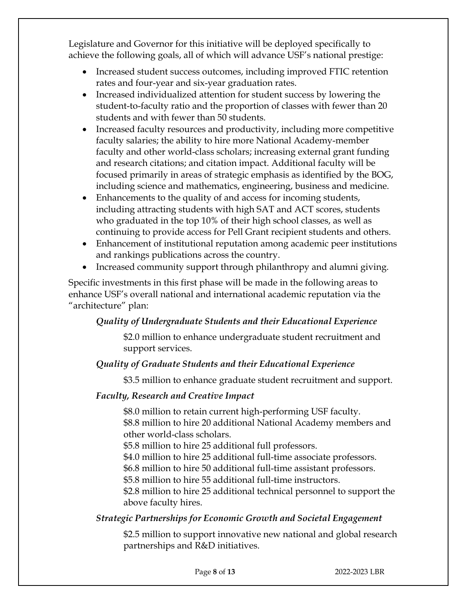Legislature and Governor for this initiative will be deployed specifically to achieve the following goals, all of which will advance USF's national prestige:

- Increased student success outcomes, including improved FTIC retention rates and four-year and six-year graduation rates.
- Increased individualized attention for student success by lowering the student-to-faculty ratio and the proportion of classes with fewer than 20 students and with fewer than 50 students.
- Increased faculty resources and productivity, including more competitive faculty salaries; the ability to hire more National Academy-member faculty and other world-class scholars; increasing external grant funding and research citations; and citation impact. Additional faculty will be focused primarily in areas of strategic emphasis as identified by the BOG, including science and mathematics, engineering, business and medicine.
- Enhancements to the quality of and access for incoming students, including attracting students with high SAT and ACT scores, students who graduated in the top 10% of their high school classes, as well as continuing to provide access for Pell Grant recipient students and others.
- Enhancement of institutional reputation among academic peer institutions and rankings publications across the country.
- Increased community support through philanthropy and alumni giving.

Specific investments in this first phase will be made in the following areas to enhance USF's overall national and international academic reputation via the "architecture" plan:

# *Quality of Undergraduate Students and their Educational Experience*

\$2.0 million to enhance undergraduate student recruitment and support services.

# *Quality of Graduate Students and their Educational Experience*

\$3.5 million to enhance graduate student recruitment and support.

# *Faculty, Research and Creative Impact*

\$8.0 million to retain current high-performing USF faculty. \$8.8 million to hire 20 additional National Academy members and other world-class scholars.

\$5.8 million to hire 25 additional full professors.

\$4.0 million to hire 25 additional full-time associate professors.

\$6.8 million to hire 50 additional full-time assistant professors.

\$5.8 million to hire 55 additional full-time instructors.

\$2.8 million to hire 25 additional technical personnel to support the above faculty hires.

# *Strategic Partnerships for Economic Growth and Societal Engagement*

\$2.5 million to support innovative new national and global research partnerships and R&D initiatives.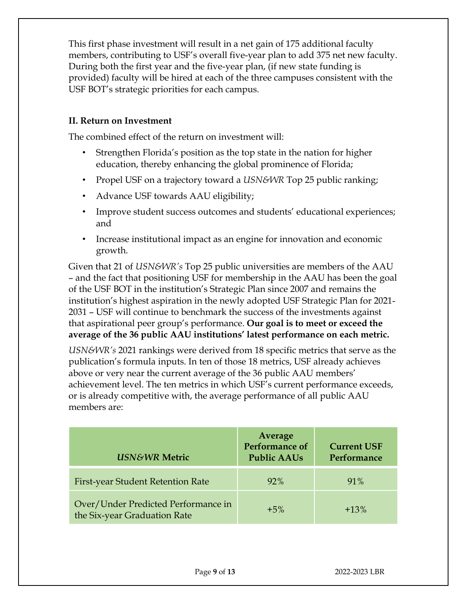This first phase investment will result in a net gain of 175 additional faculty members, contributing to USF's overall five-year plan to add 375 net new faculty. During both the first year and the five-year plan, (if new state funding is provided) faculty will be hired at each of the three campuses consistent with the USF BOT's strategic priorities for each campus.

# **II. Return on Investment**

The combined effect of the return on investment will:

- Strengthen Florida's position as the top state in the nation for higher education, thereby enhancing the global prominence of Florida;
- Propel USF on a trajectory toward a *USN&WR* Top 25 public ranking;
- Advance USF towards AAU eligibility;
- Improve student success outcomes and students' educational experiences; and
- Increase institutional impact as an engine for innovation and economic growth.

Given that 21 of *USN&WR's* Top 25 public universities are members of the AAU – and the fact that positioning USF for membership in the AAU has been the goal of the USF BOT in the institution's Strategic Plan since 2007 and remains the institution's highest aspiration in the newly adopted USF Strategic Plan for 2021- 2031 – USF will continue to benchmark the success of the investments against that aspirational peer group's performance. **Our goal is to meet or exceed the average of the 36 public AAU institutions' latest performance on each metric.**

*USN&WR's* 2021 rankings were derived from 18 specific metrics that serve as the publication's formula inputs. In ten of those 18 metrics, USF already achieves above or very near the current average of the 36 public AAU members' achievement level. The ten metrics in which USF's current performance exceeds, or is already competitive with, the average performance of all public AAU members are:

| <b>USN&amp;WR Metric</b>                                            | Average<br><b>Performance of</b><br><b>Public AAUs</b> | <b>Current USF</b><br>Performance |
|---------------------------------------------------------------------|--------------------------------------------------------|-----------------------------------|
| First-year Student Retention Rate                                   | 92%                                                    | 91%                               |
| Over/Under Predicted Performance in<br>the Six-year Graduation Rate | $+5\%$                                                 | $+13%$                            |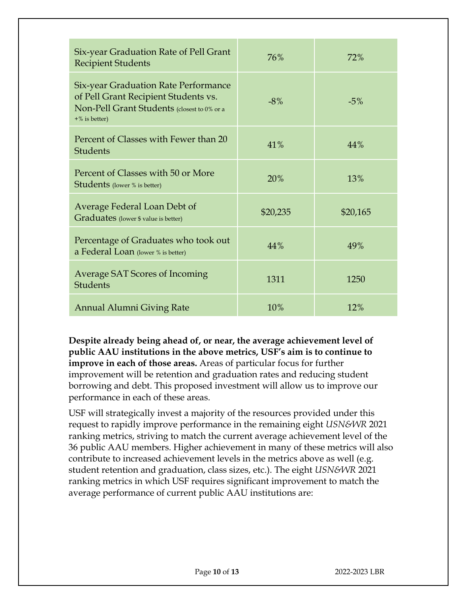| Six-year Graduation Rate of Pell Grant<br><b>Recipient Students</b>                                                                                    | 76%      | 72%      |
|--------------------------------------------------------------------------------------------------------------------------------------------------------|----------|----------|
| <b>Six-year Graduation Rate Performance</b><br>of Pell Grant Recipient Students vs.<br>Non-Pell Grant Students (closest to 0% or a<br>$+$ % is better) | $-8%$    | $-5%$    |
| Percent of Classes with Fewer than 20<br><b>Students</b>                                                                                               | 41%      | 44%      |
| Percent of Classes with 50 or More<br><b>Students</b> (lower % is better)                                                                              | 20%      | 13%      |
| Average Federal Loan Debt of<br>Graduates (lower \$ value is better)                                                                                   | \$20,235 | \$20,165 |
| Percentage of Graduates who took out<br>a Federal Loan (lower % is better)                                                                             | 44%      | 49%      |
| <b>Average SAT Scores of Incoming</b><br><b>Students</b>                                                                                               | 1311     | 1250     |
| <b>Annual Alumni Giving Rate</b>                                                                                                                       | 10%      | 12%      |

**Despite already being ahead of, or near, the average achievement level of public AAU institutions in the above metrics, USF's aim is to continue to improve in each of those areas.** Areas of particular focus for further improvement will be retention and graduation rates and reducing student borrowing and debt. This proposed investment will allow us to improve our performance in each of these areas.

USF will strategically invest a majority of the resources provided under this request to rapidly improve performance in the remaining eight *USN&WR* 2021 ranking metrics, striving to match the current average achievement level of the 36 public AAU members. Higher achievement in many of these metrics will also contribute to increased achievement levels in the metrics above as well (e.g. student retention and graduation, class sizes, etc.). The eight *USN&WR* 2021 ranking metrics in which USF requires significant improvement to match the average performance of current public AAU institutions are: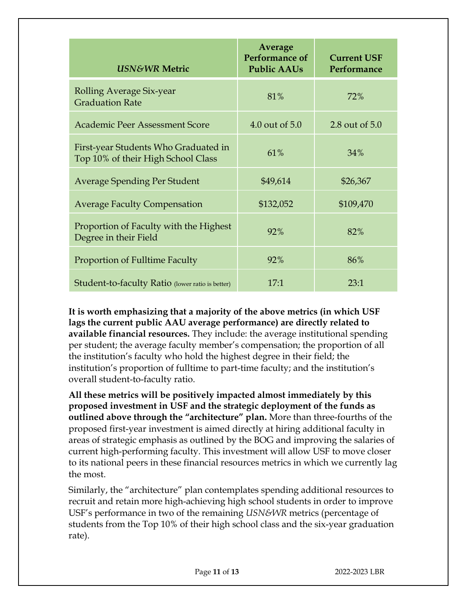| <b>USN&amp;WR Metric</b>                                                   | Average<br>Performance of<br><b>Public AAUs</b> | <b>Current USF</b><br>Performance |
|----------------------------------------------------------------------------|-------------------------------------------------|-----------------------------------|
| Rolling Average Six-year<br><b>Graduation Rate</b>                         | 81%                                             | 72%                               |
| <b>Academic Peer Assessment Score</b>                                      | 4.0 out of 5.0                                  | 2.8 out of 5.0                    |
| First-year Students Who Graduated in<br>Top 10% of their High School Class | 61%                                             | 34%                               |
| <b>Average Spending Per Student</b>                                        | \$49,614                                        | \$26,367                          |
| <b>Average Faculty Compensation</b>                                        | \$132,052                                       | \$109,470                         |
| Proportion of Faculty with the Highest<br>Degree in their Field            | 92%                                             | 82%                               |
| Proportion of Fulltime Faculty                                             | 92%                                             | 86%                               |
| Student-to-faculty Ratio (lower ratio is better)                           | $17-1$                                          | 23:1                              |

**It is worth emphasizing that a majority of the above metrics (in which USF lags the current public AAU average performance) are directly related to available financial resources.** They include: the average institutional spending per student; the average faculty member's compensation; the proportion of all the institution's faculty who hold the highest degree in their field; the institution's proportion of fulltime to part-time faculty; and the institution's overall student-to-faculty ratio.

**All these metrics will be positively impacted almost immediately by this proposed investment in USF and the strategic deployment of the funds as outlined above through the "architecture" plan.** More than three-fourths of the proposed first-year investment is aimed directly at hiring additional faculty in areas of strategic emphasis as outlined by the BOG and improving the salaries of current high-performing faculty. This investment will allow USF to move closer to its national peers in these financial resources metrics in which we currently lag the most.

Similarly, the "architecture" plan contemplates spending additional resources to recruit and retain more high-achieving high school students in order to improve USF's performance in two of the remaining *USN&WR* metrics (percentage of students from the Top 10% of their high school class and the six-year graduation rate).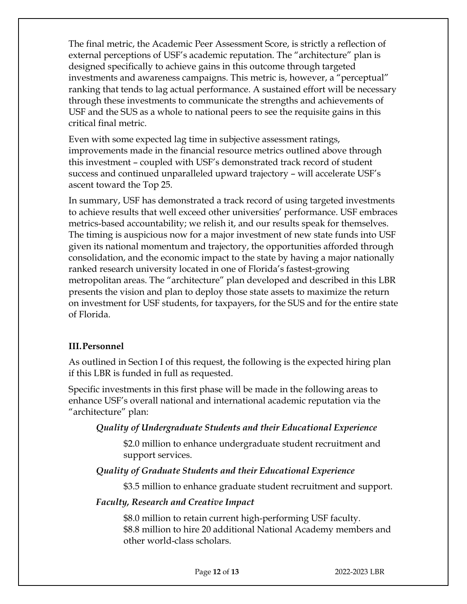The final metric, the Academic Peer Assessment Score, is strictly a reflection of external perceptions of USF's academic reputation. The "architecture" plan is designed specifically to achieve gains in this outcome through targeted investments and awareness campaigns. This metric is, however, a "perceptual" ranking that tends to lag actual performance. A sustained effort will be necessary through these investments to communicate the strengths and achievements of USF and the SUS as a whole to national peers to see the requisite gains in this critical final metric.

Even with some expected lag time in subjective assessment ratings, improvements made in the financial resource metrics outlined above through this investment – coupled with USF's demonstrated track record of student success and continued unparalleled upward trajectory – will accelerate USF's ascent toward the Top 25.

In summary, USF has demonstrated a track record of using targeted investments to achieve results that well exceed other universities' performance. USF embraces metrics-based accountability; we relish it, and our results speak for themselves. The timing is auspicious now for a major investment of new state funds into USF given its national momentum and trajectory, the opportunities afforded through consolidation, and the economic impact to the state by having a major nationally ranked research university located in one of Florida's fastest-growing metropolitan areas. The "architecture" plan developed and described in this LBR presents the vision and plan to deploy those state assets to maximize the return on investment for USF students, for taxpayers, for the SUS and for the entire state of Florida.

# **III.Personnel**

As outlined in Section I of this request, the following is the expected hiring plan if this LBR is funded in full as requested.

Specific investments in this first phase will be made in the following areas to enhance USF's overall national and international academic reputation via the "architecture" plan:

#### *Quality of Undergraduate Students and their Educational Experience*

\$2.0 million to enhance undergraduate student recruitment and support services.

#### *Quality of Graduate Students and their Educational Experience*

\$3.5 million to enhance graduate student recruitment and support.

#### *Faculty, Research and Creative Impact*

\$8.0 million to retain current high-performing USF faculty. \$8.8 million to hire 20 additional National Academy members and other world-class scholars.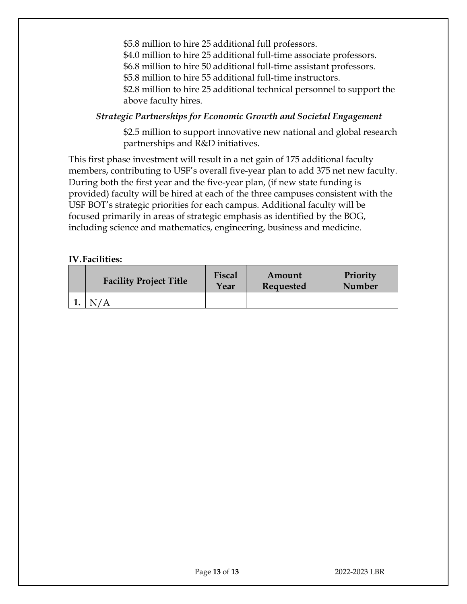\$5.8 million to hire 25 additional full professors. \$4.0 million to hire 25 additional full-time associate professors. \$6.8 million to hire 50 additional full-time assistant professors. \$5.8 million to hire 55 additional full-time instructors. \$2.8 million to hire 25 additional technical personnel to support the above faculty hires.

## *Strategic Partnerships for Economic Growth and Societal Engagement*

\$2.5 million to support innovative new national and global research partnerships and R&D initiatives.

This first phase investment will result in a net gain of 175 additional faculty members, contributing to USF's overall five-year plan to add 375 net new faculty. During both the first year and the five-year plan, (if new state funding is provided) faculty will be hired at each of the three campuses consistent with the USF BOT's strategic priorities for each campus. Additional faculty will be focused primarily in areas of strategic emphasis as identified by the BOG, including science and mathematics, engineering, business and medicine.

#### **IV.Facilities:**

| <b>Facility Project Title</b> | Fiscal<br>Year | Amount<br>Requested | Priority<br>Number |
|-------------------------------|----------------|---------------------|--------------------|
|                               |                |                     |                    |